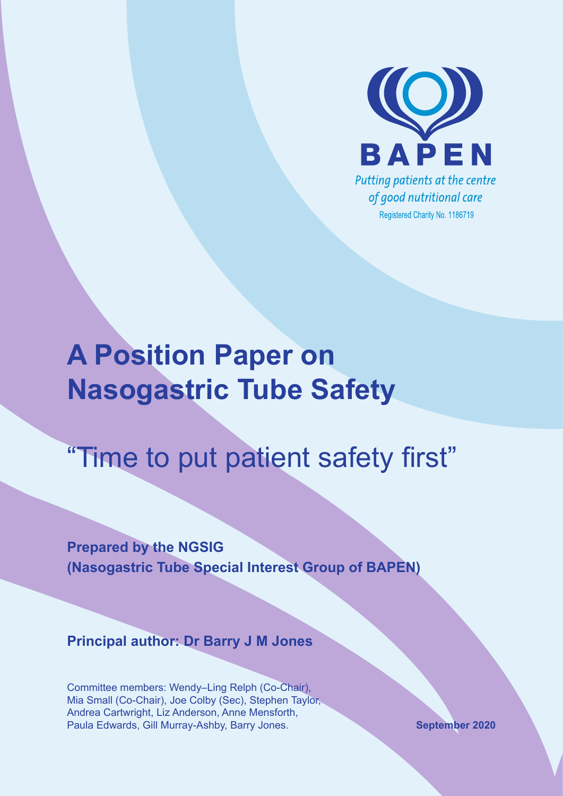

# **A Position Paper on Nasogastric Tube Safety**

# "Time to put patient safety first"

**Prepared by the NGSIG (Nasogastric Tube Special Interest Group of BAPEN)**

**Principal author: Dr Barry J M Jones**

Committee members: Wendy–Ling Relph (Co-Chair), Mia Small (Co-Chair), Joe Colby (Sec), Stephen Taylor, Andrea Cartwright, Liz Anderson, Anne Mensforth, Paula Edwards, Gill Murray-Ashby, Barry Jones. **September 2020**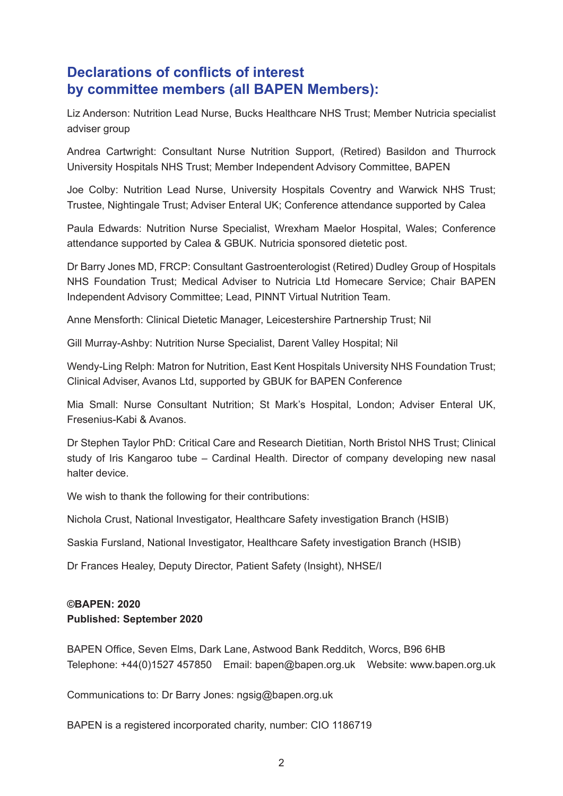# **Declarations of conflicts of interest by committee members (all BAPEN Members):**

Liz Anderson: Nutrition Lead Nurse, Bucks Healthcare NHS Trust; Member Nutricia specialist adviser group

Andrea Cartwright: Consultant Nurse Nutrition Support, (Retired) Basildon and Thurrock University Hospitals NHS Trust; Member Independent Advisory Committee, BAPEN

Joe Colby: Nutrition Lead Nurse, University Hospitals Coventry and Warwick NHS Trust; Trustee, Nightingale Trust; Adviser Enteral UK; Conference attendance supported by Calea

Paula Edwards: Nutrition Nurse Specialist, Wrexham Maelor Hospital, Wales; Conference attendance supported by Calea & GBUK. Nutricia sponsored dietetic post.

Dr Barry Jones MD, FRCP: Consultant Gastroenterologist (Retired) Dudley Group of Hospitals NHS Foundation Trust; Medical Adviser to Nutricia Ltd Homecare Service; Chair BAPEN Independent Advisory Committee; Lead, PINNT Virtual Nutrition Team.

Anne Mensforth: Clinical Dietetic Manager, Leicestershire Partnership Trust; Nil

Gill Murray-Ashby: Nutrition Nurse Specialist, Darent Valley Hospital; Nil

Wendy-Ling Relph: Matron for Nutrition, East Kent Hospitals University NHS Foundation Trust; Clinical Adviser, Avanos Ltd, supported by GBUK for BAPEN Conference

Mia Small: Nurse Consultant Nutrition; St Mark's Hospital, London; Adviser Enteral UK, Fresenius-Kabi & Avanos.

Dr Stephen Taylor PhD: Critical Care and Research Dietitian, North Bristol NHS Trust; Clinical study of Iris Kangaroo tube – Cardinal Health. Director of company developing new nasal halter device.

We wish to thank the following for their contributions:

Nichola Crust, National Investigator, Healthcare Safety investigation Branch (HSIB)

Saskia Fursland, National Investigator, Healthcare Safety investigation Branch (HSIB)

Dr Frances Healey, Deputy Director, Patient Safety (Insight), NHSE/I

### **©BAPEN: 2020 Published: September 2020**

BAPEN Office, Seven Elms, Dark Lane, Astwood Bank Redditch, Worcs, B96 6HB Telephone: +44(0)1527 457850 Email: [bapen@bapen.org.uk](mailto:bapen@bapen.org.uk) Website: [www.bapen.org.uk](http://www.bapen.org.uk)

Communications to: Dr Barry Jones: [ngsig@bapen.org.uk](mailto:ngsig@bapen.org.uk)

BAPEN is a registered incorporated charity, number: CIO 1186719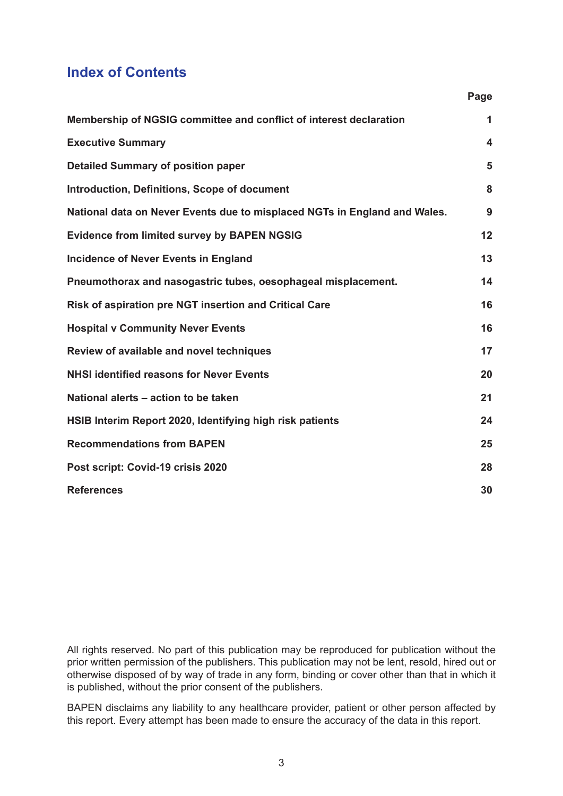# **Index of Contents**

|                                                                           | Page             |
|---------------------------------------------------------------------------|------------------|
| Membership of NGSIG committee and conflict of interest declaration        | 1                |
| <b>Executive Summary</b>                                                  | $\boldsymbol{4}$ |
| <b>Detailed Summary of position paper</b>                                 | 5                |
| <b>Introduction, Definitions, Scope of document</b>                       | 8                |
| National data on Never Events due to misplaced NGTs in England and Wales. | 9                |
| <b>Evidence from limited survey by BAPEN NGSIG</b>                        | 12               |
| <b>Incidence of Never Events in England</b>                               | 13               |
| Pneumothorax and nasogastric tubes, oesophageal misplacement.             | 14               |
| Risk of aspiration pre NGT insertion and Critical Care                    | 16               |
| <b>Hospital v Community Never Events</b>                                  | 16               |
| Review of available and novel techniques                                  | 17               |
| <b>NHSI identified reasons for Never Events</b>                           | 20               |
| National alerts - action to be taken                                      | 21               |
| HSIB Interim Report 2020, Identifying high risk patients                  | 24               |
| <b>Recommendations from BAPEN</b>                                         | 25               |
| Post script: Covid-19 crisis 2020                                         | 28               |
| <b>References</b>                                                         | 30               |

All rights reserved. No part of this publication may be reproduced for publication without the prior written permission of the publishers. This publication may not be lent, resold, hired out or otherwise disposed of by way of trade in any form, binding or cover other than that in which it is published, without the prior consent of the publishers.

BAPEN disclaims any liability to any healthcare provider, patient or other person affected by this report. Every attempt has been made to ensure the accuracy of the data in this report.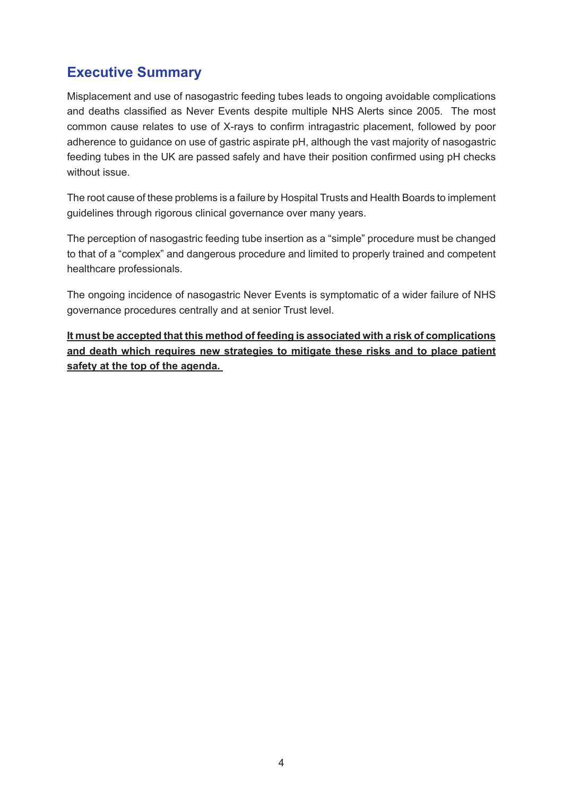# **Executive Summary**

Misplacement and use of nasogastric feeding tubes leads to ongoing avoidable complications and deaths classified as Never Events despite multiple NHS Alerts since 2005. The most common cause relates to use of X-rays to confirm intragastric placement, followed by poor adherence to guidance on use of gastric aspirate pH, although the vast majority of nasogastric feeding tubes in the UK are passed safely and have their position confirmed using pH checks without issue.

The root cause of these problems is a failure by Hospital Trusts and Health Boards to implement guidelines through rigorous clinical governance over many years.

The perception of nasogastric feeding tube insertion as a "simple" procedure must be changed to that of a "complex" and dangerous procedure and limited to properly trained and competent healthcare professionals.

The ongoing incidence of nasogastric Never Events is symptomatic of a wider failure of NHS governance procedures centrally and at senior Trust level.

**It must be accepted that this method of feeding is associated with a risk of complications and death which requires new strategies to mitigate these risks and to place patient safety at the top of the agenda.**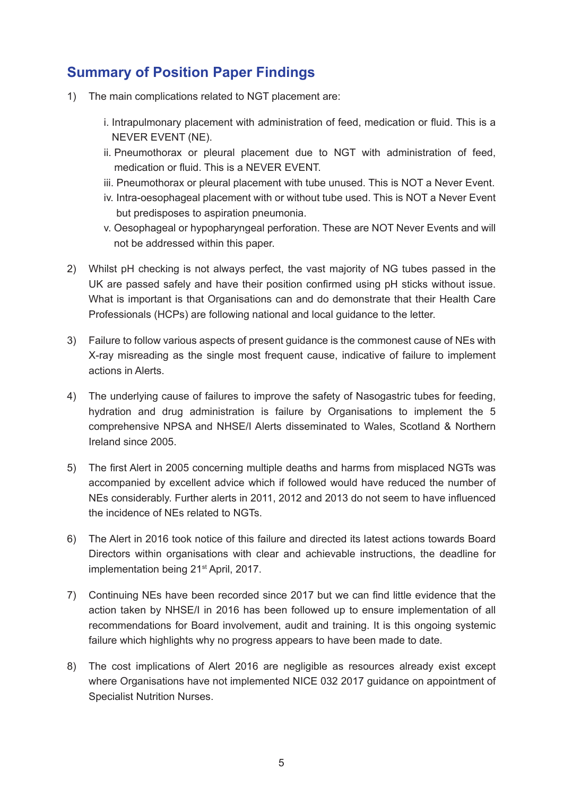# **Summary of Position Paper Findings**

- 1) The main complications related to NGT placement are:
	- i. Intrapulmonary placement with administration of feed, medication or fluid. This is a NEVER EVENT (NE).
	- ii. Pneumothorax or pleural placement due to NGT with administration of feed, medication or fluid. This is a NEVER EVENT.
	- iii. Pneumothorax or pleural placement with tube unused. This is NOT a Never Event.
	- iv. Intra-oesophageal placement with or without tube used. This is NOT a Never Event but predisposes to aspiration pneumonia.
	- v. Oesophageal or hypopharyngeal perforation. These are NOT Never Events and will not be addressed within this paper.
- 2) Whilst pH checking is not always perfect, the vast majority of NG tubes passed in the UK are passed safely and have their position confirmed using pH sticks without issue. What is important is that Organisations can and do demonstrate that their Health Care Professionals (HCPs) are following national and local guidance to the letter.
- 3) Failure to follow various aspects of present guidance is the commonest cause of NEs with X-ray misreading as the single most frequent cause, indicative of failure to implement actions in Alerts.
- 4) The underlying cause of failures to improve the safety of Nasogastric tubes for feeding, hydration and drug administration is failure by Organisations to implement the 5 comprehensive NPSA and NHSE/I Alerts disseminated to Wales, Scotland & Northern Ireland since 2005.
- 5) The first Alert in 2005 concerning multiple deaths and harms from misplaced NGTs was accompanied by excellent advice which if followed would have reduced the number of NEs considerably. Further alerts in 2011, 2012 and 2013 do not seem to have influenced the incidence of NEs related to NGTs.
- 6) The Alert in 2016 took notice of this failure and directed its latest actions towards Board Directors within organisations with clear and achievable instructions, the deadline for implementation being 21<sup>st</sup> April, 2017.
- 7) Continuing NEs have been recorded since 2017 but we can find little evidence that the action taken by NHSE/I in 2016 has been followed up to ensure implementation of all recommendations for Board involvement, audit and training. It is this ongoing systemic failure which highlights why no progress appears to have been made to date.
- 8) The cost implications of Alert 2016 are negligible as resources already exist except where Organisations have not implemented NICE 032 2017 guidance on appointment of Specialist Nutrition Nurses.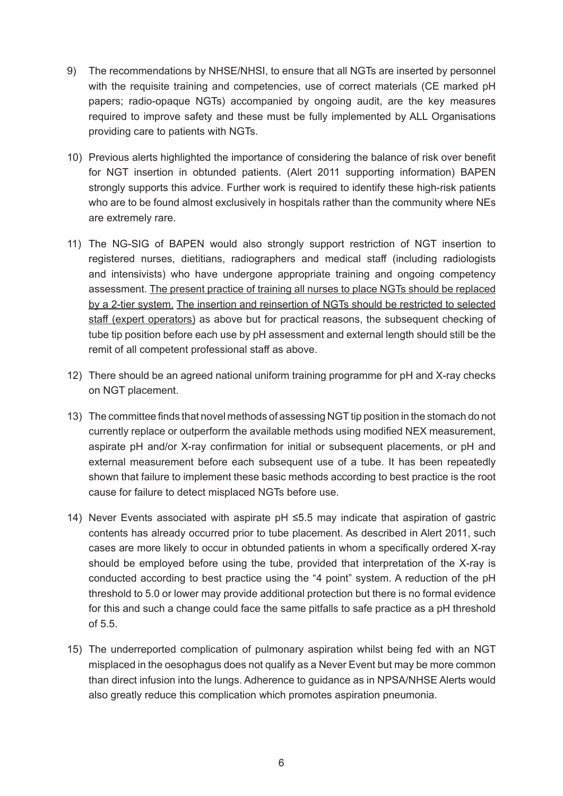- 9) The recommendations by NHSE/NHSI, to ensure that all NGTs are inserted by personnel with the requisite training and competencies, use of correct materials (CE marked pH papers; radio-opaque NGTs) accompanied by ongoing audit, are the key measures required to improve safety and these must be fully implemented by ALL Organisations providing care to patients with NGTs.
- 10) Previous alerts highlighted the importance of considering the balance of risk over benefit for NGT insertion in obtunded patients. (Alert 2011 supporting information) BAPEN strongly supports this advice. Further work is required to identify these high-risk patients who are to be found almost exclusively in hospitals rather than the community where NEs are extremely rare.
- 11) The NG-SIG of BAPEN would also strongly support restriction of NGT insertion to registered nurses, dietitians, radiographers and medical staff (including radiologists and intensivists) who have undergone appropriate training and ongoing competency assessment. The present practice of training all nurses to place NGTs should be replaced by a 2-tier system. The insertion and reinsertion of NGTs should be restricted to selected staff (expert operators) as above but for practical reasons, the subsequent checking of tube tip position before each use by pH assessment and external length should still be the remit of all competent professional staff as above.
- 12) There should be an agreed national uniform training programme for pH and X-ray checks on NGT placement.
- 13) The committee finds that novel methods of assessing NGT tip position in the stomach do not currently replace or outperform the available methods using modified NEX measurement, aspirate pH and/or X-ray confirmation for initial or subsequent placements, or pH and external measurement before each subsequent use of a tube. It has been repeatedly shown that failure to implement these basic methods according to best practice is the root cause for failure to detect misplaced NGTs before use.
- 14) Never Events associated with aspirate pH ≤5.5 may indicate that aspiration of gastric contents has already occurred prior to tube placement. As described in Alert 2011, such cases are more likely to occur in obtunded patients in whom a specifically ordered X-ray should be employed before using the tube, provided that interpretation of the X-ray is conducted according to best practice using the "4 point" system. A reduction of the pH threshold to 5.0 or lower may provide additional protection but there is no formal evidence for this and such a change could face the same pitfalls to safe practice as a pH threshold of 5.5.
- 15) The underreported complication of pulmonary aspiration whilst being fed with an NGT misplaced in the oesophagus does not qualify as a Never Event but may be more common than direct infusion into the lungs. Adherence to guidance as in NPSA/NHSE Alerts would also greatly reduce this complication which promotes aspiration pneumonia.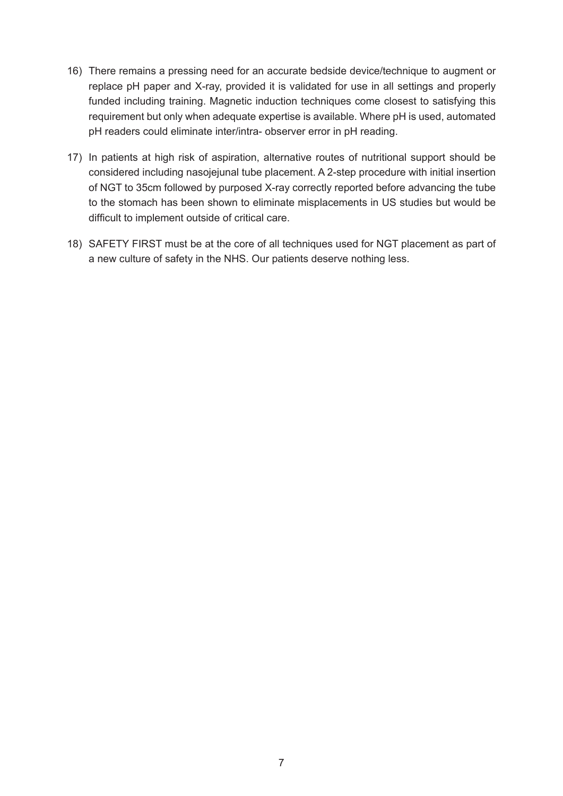- 16) There remains a pressing need for an accurate bedside device/technique to augment or replace pH paper and X-ray, provided it is validated for use in all settings and properly funded including training. Magnetic induction techniques come closest to satisfying this requirement but only when adequate expertise is available. Where pH is used, automated pH readers could eliminate inter/intra- observer error in pH reading.
- 17) In patients at high risk of aspiration, alternative routes of nutritional support should be considered including nasojejunal tube placement. A 2-step procedure with initial insertion of NGT to 35cm followed by purposed X-ray correctly reported before advancing the tube to the stomach has been shown to eliminate misplacements in US studies but would be difficult to implement outside of critical care.
- 18) SAFETY FIRST must be at the core of all techniques used for NGT placement as part of a new culture of safety in the NHS. Our patients deserve nothing less.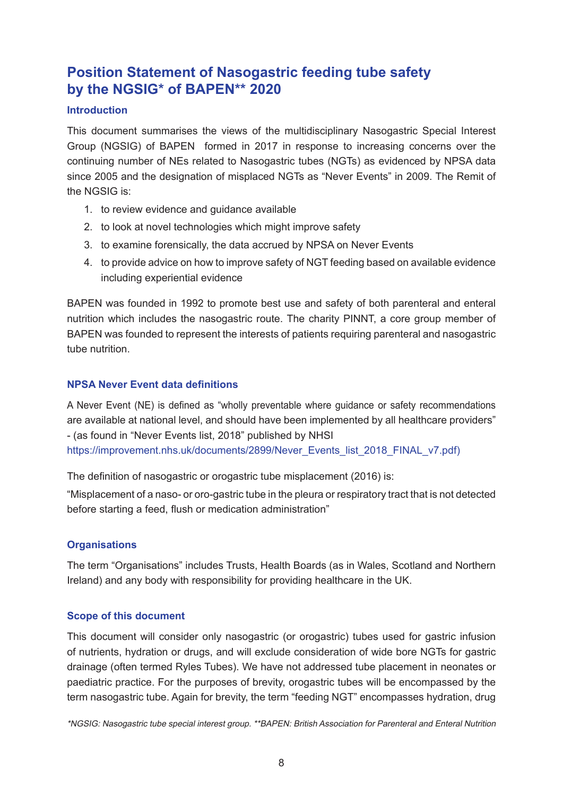# **Position Statement of Nasogastric feeding tube safety by the NGSIG\* of BAPEN\*\* 2020**

### **Introduction**

This document summarises the views of the multidisciplinary Nasogastric Special Interest Group (NGSIG) of BAPEN formed in 2017 in response to increasing concerns over the continuing number of NEs related to Nasogastric tubes (NGTs) as evidenced by NPSA data since 2005 and the designation of misplaced NGTs as "Never Events" in 2009. The Remit of the NGSIG is:

- 1. to review evidence and guidance available
- 2. to look at novel technologies which might improve safety
- 3. to examine forensically, the data accrued by NPSA on Never Events
- 4. to provide advice on how to improve safety of NGT feeding based on available evidence including experiential evidence

BAPEN was founded in 1992 to promote best use and safety of both parenteral and enteral nutrition which includes the nasogastric route. The charity PINNT, a core group member of BAPEN was founded to represent the interests of patients requiring parenteral and nasogastric tube nutrition.

### **NPSA Never Event data definitions**

A Never Event (NE) is defined as "wholly preventable where guidance or safety recommendations are available at national level, and should have been implemented by all healthcare providers" - (as found in "Never Events list, 2018" published by NHSI [https://improvement.nhs.uk/documents/2899/Never\\_Events\\_list\\_2018\\_FINAL\\_v7.pdf\)](https://improvement.nhs.uk/documents/2899/Never_Events_list_2018_FINAL_v7.pdf)

The definition of nasogastric or orogastric tube misplacement (2016) is:

"Misplacement of a naso- or oro-gastric tube in the pleura or respiratory tract that is not detected before starting a feed, flush or medication administration"

### **Organisations**

The term "Organisations" includes Trusts, Health Boards (as in Wales, Scotland and Northern Ireland) and any body with responsibility for providing healthcare in the UK.

### **Scope of this document**

This document will consider only nasogastric (or orogastric) tubes used for gastric infusion of nutrients, hydration or drugs, and will exclude consideration of wide bore NGTs for gastric drainage (often termed Ryles Tubes). We have not addressed tube placement in neonates or paediatric practice. For the purposes of brevity, orogastric tubes will be encompassed by the term nasogastric tube. Again for brevity, the term "feeding NGT" encompasses hydration, drug

\*NGSIG: Nasogastric tube special interest group. \*\*BAPEN: British Association for Parenteral and Enteral Nutrition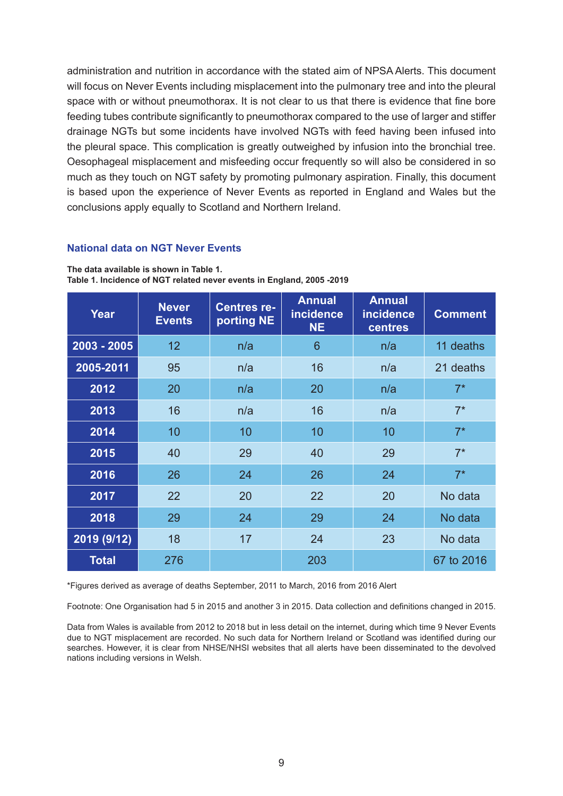administration and nutrition in accordance with the stated aim of NPSA Alerts. This document will focus on Never Events including misplacement into the pulmonary tree and into the pleural space with or without pneumothorax. It is not clear to us that there is evidence that fine bore feeding tubes contribute significantly to pneumothorax compared to the use of larger and stiffer drainage NGTs but some incidents have involved NGTs with feed having been infused into the pleural space. This complication is greatly outweighed by infusion into the bronchial tree. Oesophageal misplacement and misfeeding occur frequently so will also be considered in so much as they touch on NGT safety by promoting pulmonary aspiration. Finally, this document is based upon the experience of Never Events as reported in England and Wales but the conclusions apply equally to Scotland and Northern Ireland.

### **National data on NGT Never Events**

| Year          | <b>Never</b><br><b>Events</b> | <b>Centres re-</b><br>porting NE | <b>Annual</b><br><b>incidence</b><br><b>NE</b> | <b>Annual</b><br><b>incidence</b><br><b>centres</b> | <b>Comment</b> |
|---------------|-------------------------------|----------------------------------|------------------------------------------------|-----------------------------------------------------|----------------|
| $2003 - 2005$ | 12 <sup>2</sup>               | n/a                              | 6                                              | n/a                                                 | 11 deaths      |
| 2005-2011     | 95                            | n/a                              | 16                                             | n/a                                                 | 21 deaths      |
| 2012          | 20                            | n/a                              | 20                                             | n/a                                                 | $7^*$          |
| 2013          | 16                            | n/a                              | 16                                             | n/a                                                 | $7^*$          |
| 2014          | 10                            | 10                               | 10                                             | 10                                                  | $7^*$          |
| 2015          | 40                            | 29                               | 40                                             | 29                                                  | $7^*$          |
| 2016          | 26                            | 24                               | 26                                             | 24                                                  | $7^*$          |
| 2017          | 22                            | 20                               | 22                                             | 20                                                  | No data        |
| 2018          | 29                            | 24                               | 29                                             | 24                                                  | No data        |
| 2019 (9/12)   | 18                            | 17                               | 24                                             | 23                                                  | No data        |
| <b>Total</b>  | 276                           |                                  | 203                                            |                                                     | 67 to 2016     |

**The data available is shown in Table 1. Table 1. Incidence of NGT related never events in England, 2005 -2019**

\*Figures derived as average of deaths September, 2011 to March, 2016 from 2016 Alert

Footnote: One Organisation had 5 in 2015 and another 3 in 2015. Data collection and definitions changed in 2015.

Data from Wales is available from 2012 to 2018 but in less detail on the internet, during which time 9 Never Events due to NGT misplacement are recorded. No such data for Northern Ireland or Scotland was identified during our searches. However, it is clear from NHSE/NHSI websites that all alerts have been disseminated to the devolved nations including versions in Welsh.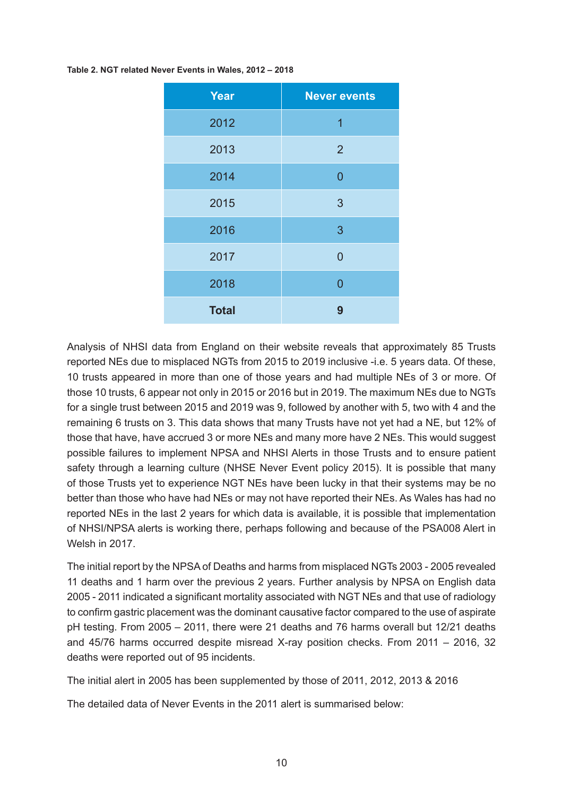**Table 2. NGT related Never Events in Wales, 2012 – 2018**

| <b>Year</b>  | <b>Never events</b> |
|--------------|---------------------|
| 2012         | 1                   |
| 2013         | $\overline{2}$      |
| 2014         | $\overline{0}$      |
| 2015         | 3                   |
| 2016         | 3                   |
| 2017         | $\overline{0}$      |
| 2018         | $\overline{0}$      |
| <b>Total</b> | 9                   |

Analysis of NHSI data from England on their website reveals that approximately 85 Trusts reported NEs due to misplaced NGTs from 2015 to 2019 inclusive -i.e. 5 years data. Of these, 10 trusts appeared in more than one of those years and had multiple NEs of 3 or more. Of those 10 trusts, 6 appear not only in 2015 or 2016 but in 2019. The maximum NEs due to NGTs for a single trust between 2015 and 2019 was 9, followed by another with 5, two with 4 and the remaining 6 trusts on 3. This data shows that many Trusts have not yet had a NE, but 12% of those that have, have accrued 3 or more NEs and many more have 2 NEs. This would suggest possible failures to implement NPSA and NHSI Alerts in those Trusts and to ensure patient safety through a learning culture (NHSE Never Event policy 2015). It is possible that many of those Trusts yet to experience NGT NEs have been lucky in that their systems may be no better than those who have had NEs or may not have reported their NEs. As Wales has had no reported NEs in the last 2 years for which data is available, it is possible that implementation of NHSI/NPSA alerts is working there, perhaps following and because of the PSA008 Alert in Welsh in 2017.

The initial report by the NPSA of Deaths and harms from misplaced NGTs 2003 - 2005 revealed 11 deaths and 1 harm over the previous 2 years. Further analysis by NPSA on English data 2005 - 2011 indicated a significant mortality associated with NGT NEs and that use of radiology to confirm gastric placement was the dominant causative factor compared to the use of aspirate pH testing. From 2005 – 2011, there were 21 deaths and 76 harms overall but 12/21 deaths and 45/76 harms occurred despite misread X-ray position checks. From 2011 – 2016, 32 deaths were reported out of 95 incidents.

The initial alert in 2005 has been supplemented by those of 2011, 2012, 2013 & 2016

The detailed data of Never Events in the 2011 alert is summarised below: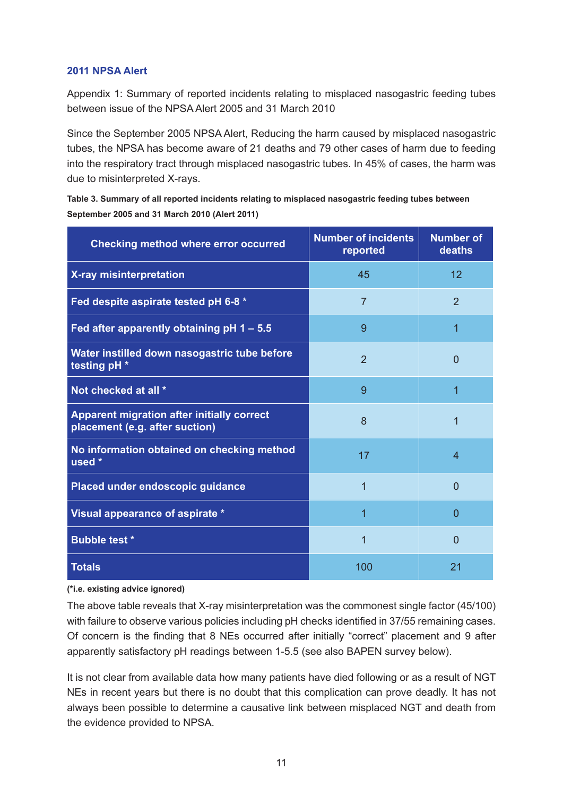### **2011 NPSA Alert**

Appendix 1: Summary of reported incidents relating to misplaced nasogastric feeding tubes between issue of the NPSA Alert 2005 and 31 March 2010

Since the September 2005 NPSA Alert, Reducing the harm caused by misplaced nasogastric tubes, the NPSA has become aware of 21 deaths and 79 other cases of harm due to feeding into the respiratory tract through misplaced nasogastric tubes. In 45% of cases, the harm was due to misinterpreted X-rays.

**Table 3. Summary of all reported incidents relating to misplaced nasogastric feeding tubes between September 2005 and 31 March 2010 (Alert 2011)**

| <b>Checking method where error occurred</b>                                         | <b>Number of incidents</b><br>reported | <b>Number of</b><br>deaths |
|-------------------------------------------------------------------------------------|----------------------------------------|----------------------------|
| X-ray misinterpretation                                                             | 45                                     | 12                         |
| Fed despite aspirate tested pH 6-8 *                                                | $\overline{7}$                         | $\overline{2}$             |
| Fed after apparently obtaining pH 1 - 5.5                                           | 9                                      | 1                          |
| Water instilled down nasogastric tube before<br>testing pH *                        | $\overline{2}$                         | 0                          |
| Not checked at all *                                                                | 9                                      | 1                          |
| <b>Apparent migration after initially correct</b><br>placement (e.g. after suction) | 8                                      | 1                          |
| No information obtained on checking method<br>used *                                | 17                                     | 4                          |
| Placed under endoscopic guidance                                                    | 1                                      | 0                          |
| Visual appearance of aspirate *                                                     | 1                                      | 0                          |
| <b>Bubble test *</b>                                                                | 1                                      | 0                          |
| <b>Totals</b>                                                                       | 100                                    | 21                         |

#### **(\*i.e. existing advice ignored)**

The above table reveals that X-ray misinterpretation was the commonest single factor (45/100) with failure to observe various policies including pH checks identified in 37/55 remaining cases. Of concern is the finding that 8 NEs occurred after initially "correct" placement and 9 after apparently satisfactory pH readings between 1-5.5 (see also BAPEN survey below).

It is not clear from available data how many patients have died following or as a result of NGT NEs in recent years but there is no doubt that this complication can prove deadly. It has not always been possible to determine a causative link between misplaced NGT and death from the evidence provided to NPSA.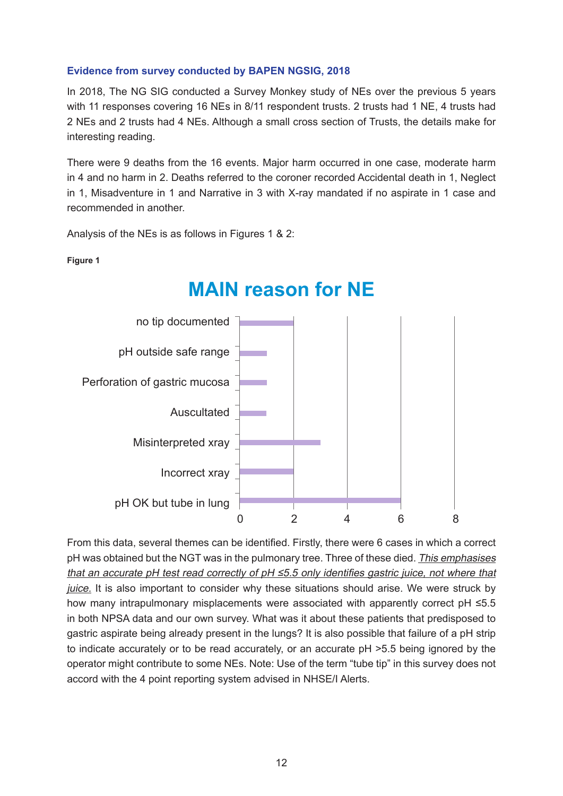### **Evidence from survey conducted by BAPEN NGSIG, 2018**

In 2018, The NG SIG conducted a Survey Monkey study of NEs over the previous 5 years with 11 responses covering 16 NEs in 8/11 respondent trusts. 2 trusts had 1 NE, 4 trusts had 2 NEs and 2 trusts had 4 NEs. Although a small cross section of Trusts, the details make for interesting reading.

There were 9 deaths from the 16 events. Major harm occurred in one case, moderate harm in 4 and no harm in 2. Deaths referred to the coroner recorded Accidental death in 1, Neglect in 1, Misadventure in 1 and Narrative in 3 with X-ray mandated if no aspirate in 1 case and recommended in another.

Analysis of the NEs is as follows in Figures 1 & 2:

**Figure 1**



# **MAIN reason for NE**

From this data, several themes can be identified. Firstly, there were 6 cases in which a correct pH was obtained but the NGT was in the pulmonary tree. Three of these died. This emphasises that an accurate pH test read correctly of  $pH \le 5.5$  only identifies gastric juice, not where that juice. It is also important to consider why these situations should arise. We were struck by how many intrapulmonary misplacements were associated with apparently correct pH ≤5.5 in both NPSA data and our own survey. What was it about these patients that predisposed to gastric aspirate being already present in the lungs? It is also possible that failure of a pH strip to indicate accurately or to be read accurately, or an accurate pH >5.5 being ignored by the operator might contribute to some NEs. Note: Use of the term "tube tip" in this survey does not accord with the 4 point reporting system advised in NHSE/I Alerts.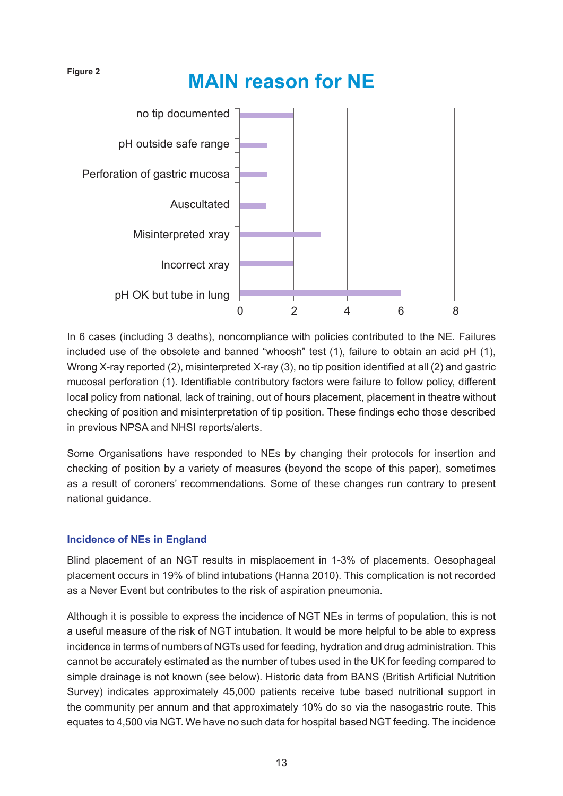#### **Figure 2**

# **MAIN reason for NE**



In 6 cases (including 3 deaths), noncompliance with policies contributed to the NE. Failures included use of the obsolete and banned "whoosh" test (1), failure to obtain an acid pH (1), Wrong X-ray reported (2), misinterpreted X-ray (3), no tip position identified at all (2) and gastric mucosal perforation (1). Identifiable contributory factors were failure to follow policy, different local policy from national, lack of training, out of hours placement, placement in theatre without checking of position and misinterpretation of tip position. These findings echo those described in previous NPSA and NHSI reports/alerts.

Some Organisations have responded to NEs by changing their protocols for insertion and checking of position by a variety of measures (beyond the scope of this paper), sometimes as a result of coroners' recommendations. Some of these changes run contrary to present national guidance.

### **Incidence of NEs in England**

Blind placement of an NGT results in misplacement in 1-3% of placements. Oesophageal placement occurs in 19% of blind intubations (Hanna 2010). This complication is not recorded as a Never Event but contributes to the risk of aspiration pneumonia.

Although it is possible to express the incidence of NGT NEs in terms of population, this is not a useful measure of the risk of NGT intubation. It would be more helpful to be able to express incidence in terms of numbers of NGTs used for feeding, hydration and drug administration. This cannot be accurately estimated as the number of tubes used in the UK for feeding compared to simple drainage is not known (see below). Historic data from BANS (British Artificial Nutrition Survey) indicates approximately 45,000 patients receive tube based nutritional support in the community per annum and that approximately 10% do so via the nasogastric route. This equates to 4,500 via NGT. We have no such data for hospital based NGT feeding. The incidence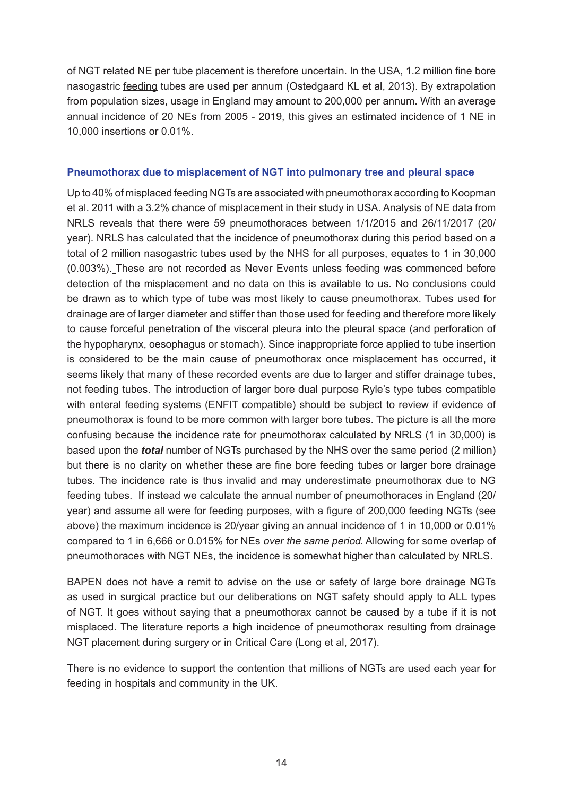of NGT related NE per tube placement is therefore uncertain. In the USA, 1.2 million fine bore nasogastric feeding tubes are used per annum (Ostedgaard KL et al, 2013). By extrapolation from population sizes, usage in England may amount to 200,000 per annum. With an average annual incidence of 20 NEs from 2005 - 2019, this gives an estimated incidence of 1 NE in 10,000 insertions or 0.01%.

### **Pneumothorax due to misplacement of NGT into pulmonary tree and pleural space**

Up to 40% of misplaced feeding NGTs are associated with pneumothorax according to Koopman et al. 2011 with a 3.2% chance of misplacement in their study in USA. Analysis of NE data from NRLS reveals that there were 59 pneumothoraces between 1/1/2015 and 26/11/2017 (20/ year). NRLS has calculated that the incidence of pneumothorax during this period based on a total of 2 million nasogastric tubes used by the NHS for all purposes, equates to 1 in 30,000 (0.003%). These are not recorded as Never Events unless feeding was commenced before detection of the misplacement and no data on this is available to us. No conclusions could be drawn as to which type of tube was most likely to cause pneumothorax. Tubes used for drainage are of larger diameter and stiffer than those used for feeding and therefore more likely to cause forceful penetration of the visceral pleura into the pleural space (and perforation of the hypopharynx, oesophagus or stomach). Since inappropriate force applied to tube insertion is considered to be the main cause of pneumothorax once misplacement has occurred, it seems likely that many of these recorded events are due to larger and stiffer drainage tubes, not feeding tubes. The introduction of larger bore dual purpose Ryle's type tubes compatible with enteral feeding systems (ENFIT compatible) should be subject to review if evidence of pneumothorax is found to be more common with larger bore tubes. The picture is all the more confusing because the incidence rate for pneumothorax calculated by NRLS (1 in 30,000) is based upon the *total* number of NGTs purchased by the NHS over the same period (2 million) but there is no clarity on whether these are fine bore feeding tubes or larger bore drainage tubes. The incidence rate is thus invalid and may underestimate pneumothorax due to NG feeding tubes. If instead we calculate the annual number of pneumothoraces in England (20/ year) and assume all were for feeding purposes, with a figure of 200,000 feeding NGTs (see above) the maximum incidence is 20/year giving an annual incidence of 1 in 10,000 or 0.01% compared to 1 in 6,666 or 0.015% for NEs over the same period. Allowing for some overlap of pneumothoraces with NGT NEs, the incidence is somewhat higher than calculated by NRLS.

BAPEN does not have a remit to advise on the use or safety of large bore drainage NGTs as used in surgical practice but our deliberations on NGT safety should apply to ALL types of NGT. It goes without saying that a pneumothorax cannot be caused by a tube if it is not misplaced. The literature reports a high incidence of pneumothorax resulting from drainage NGT placement during surgery or in Critical Care (Long et al, 2017).

There is no evidence to support the contention that millions of NGTs are used each year for feeding in hospitals and community in the UK.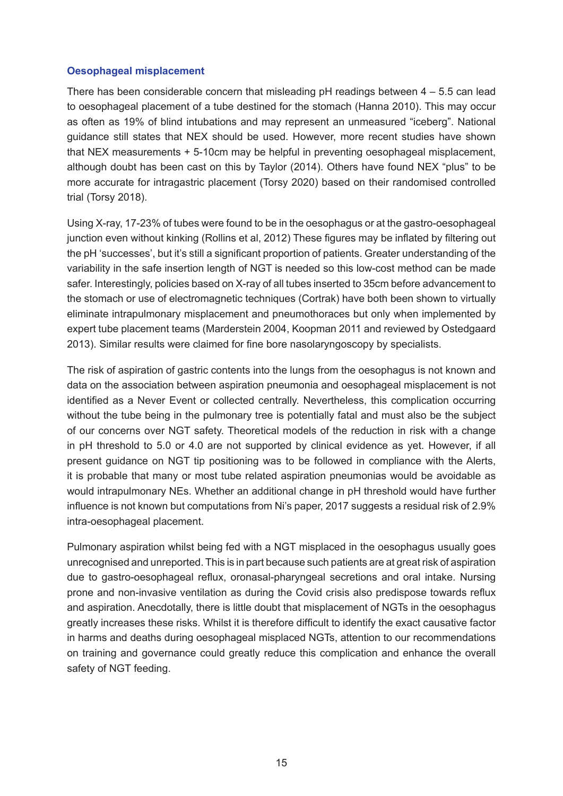### **Oesophageal misplacement**

There has been considerable concern that misleading  $pH$  readings between  $4 - 5.5$  can lead to oesophageal placement of a tube destined for the stomach (Hanna 2010). This may occur as often as 19% of blind intubations and may represent an unmeasured "iceberg". National guidance still states that NEX should be used. However, more recent studies have shown that NEX measurements + 5-10cm may be helpful in preventing oesophageal misplacement, although doubt has been cast on this by Taylor (2014). Others have found NEX "plus" to be more accurate for intragastric placement (Torsy 2020) based on their randomised controlled trial (Torsy 2018).

Using X-ray, 17-23% of tubes were found to be in the oesophagus or at the gastro-oesophageal junction even without kinking (Rollins et al, 2012) These figures may be inflated by filtering out the pH 'successes', but it's still a significant proportion of patients. Greater understanding of the variability in the safe insertion length of NGT is needed so this low-cost method can be made safer. Interestingly, policies based on X-ray of all tubes inserted to 35cm before advancement to the stomach or use of electromagnetic techniques (Cortrak) have both been shown to virtually eliminate intrapulmonary misplacement and pneumothoraces but only when implemented by expert tube placement teams (Marderstein 2004, Koopman 2011 and reviewed by Ostedgaard 2013). Similar results were claimed for fine bore nasolaryngoscopy by specialists.

The risk of aspiration of gastric contents into the lungs from the oesophagus is not known and data on the association between aspiration pneumonia and oesophageal misplacement is not identified as a Never Event or collected centrally. Nevertheless, this complication occurring without the tube being in the pulmonary tree is potentially fatal and must also be the subject of our concerns over NGT safety. Theoretical models of the reduction in risk with a change in pH threshold to 5.0 or 4.0 are not supported by clinical evidence as yet. However, if all present guidance on NGT tip positioning was to be followed in compliance with the Alerts, it is probable that many or most tube related aspiration pneumonias would be avoidable as would intrapulmonary NEs. Whether an additional change in pH threshold would have further influence is not known but computations from Ni's paper, 2017 suggests a residual risk of 2.9% intra-oesophageal placement.

Pulmonary aspiration whilst being fed with a NGT misplaced in the oesophagus usually goes unrecognised and unreported. This is in part because such patients are at great risk of aspiration due to gastro-oesophageal reflux, oronasal-pharyngeal secretions and oral intake. Nursing prone and non-invasive ventilation as during the Covid crisis also predispose towards reflux and aspiration. Anecdotally, there is little doubt that misplacement of NGTs in the oesophagus greatly increases these risks. Whilst it is therefore difficult to identify the exact causative factor in harms and deaths during oesophageal misplaced NGTs, attention to our recommendations on training and governance could greatly reduce this complication and enhance the overall safety of NGT feeding.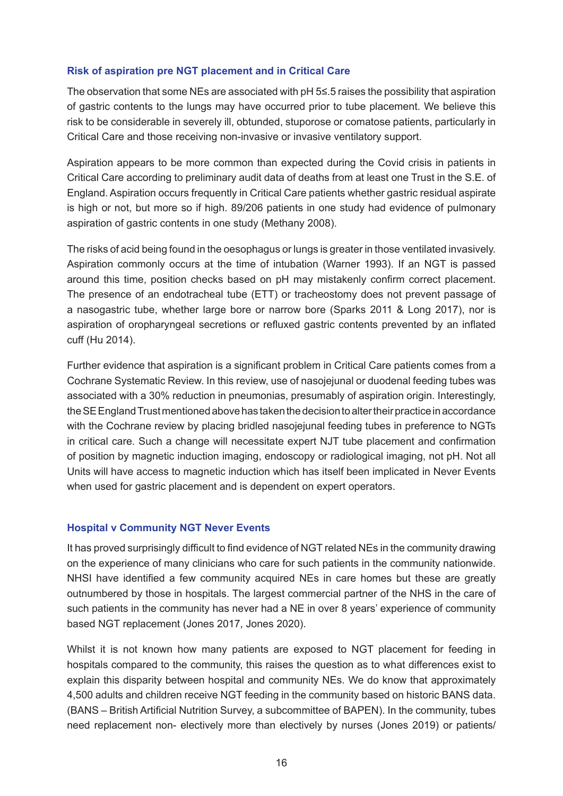### **Risk of aspiration pre NGT placement and in Critical Care**

The observation that some NEs are associated with pH 5≤.5 raises the possibility that aspiration of gastric contents to the lungs may have occurred prior to tube placement. We believe this risk to be considerable in severely ill, obtunded, stuporose or comatose patients, particularly in Critical Care and those receiving non-invasive or invasive ventilatory support.

Aspiration appears to be more common than expected during the Covid crisis in patients in Critical Care according to preliminary audit data of deaths from at least one Trust in the S.E. of England. Aspiration occurs frequently in Critical Care patients whether gastric residual aspirate is high or not, but more so if high. 89/206 patients in one study had evidence of pulmonary aspiration of gastric contents in one study (Methany 2008).

The risks of acid being found in the oesophagus or lungs is greater in those ventilated invasively. Aspiration commonly occurs at the time of intubation (Warner 1993). If an NGT is passed around this time, position checks based on pH may mistakenly confirm correct placement. The presence of an endotracheal tube (ETT) or tracheostomy does not prevent passage of a nasogastric tube, whether large bore or narrow bore (Sparks 2011 & Long 2017), nor is aspiration of oropharyngeal secretions or refluxed gastric contents prevented by an inflated cuff (Hu 2014).

Further evidence that aspiration is a significant problem in Critical Care patients comes from a Cochrane Systematic Review. In this review, use of nasojejunal or duodenal feeding tubes was associated with a 30% reduction in pneumonias, presumably of aspiration origin. Interestingly, the SE England Trust mentioned above has taken the decision to alter their practice in accordance with the Cochrane review by placing bridled nasojejunal feeding tubes in preference to NGTs in critical care. Such a change will necessitate expert NJT tube placement and confirmation of position by magnetic induction imaging, endoscopy or radiological imaging, not pH. Not all Units will have access to magnetic induction which has itself been implicated in Never Events when used for gastric placement and is dependent on expert operators.

### **Hospital v Community NGT Never Events**

It has proved surprisingly difficult to find evidence of NGT related NEs in the community drawing on the experience of many clinicians who care for such patients in the community nationwide. NHSI have identified a few community acquired NEs in care homes but these are greatly outnumbered by those in hospitals. The largest commercial partner of the NHS in the care of such patients in the community has never had a NE in over 8 years' experience of community based NGT replacement (Jones 2017, Jones 2020).

Whilst it is not known how many patients are exposed to NGT placement for feeding in hospitals compared to the community, this raises the question as to what differences exist to explain this disparity between hospital and community NEs. We do know that approximately 4,500 adults and children receive NGT feeding in the community based on historic BANS data. (BANS – British Artificial Nutrition Survey, a subcommittee of BAPEN). In the community, tubes need replacement non- electively more than electively by nurses (Jones 2019) or patients/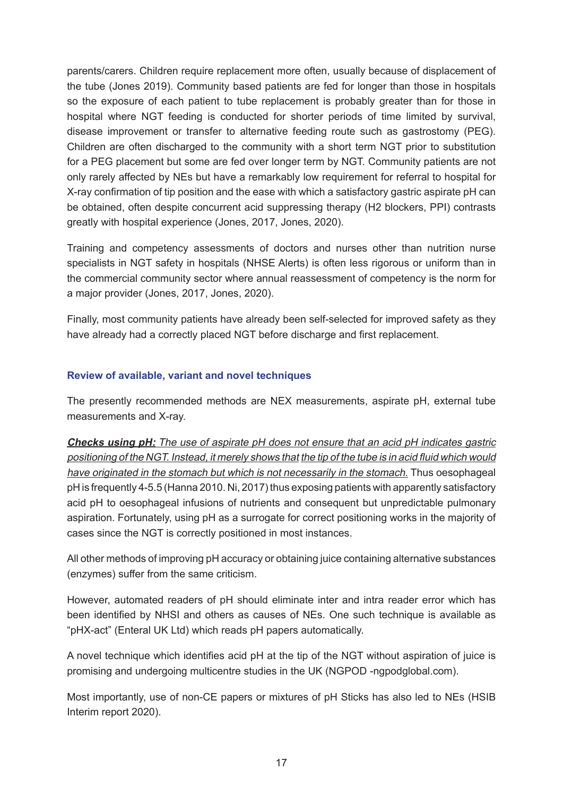parents/carers. Children require replacement more often, usually because of displacement of the tube (Jones 2019). Community based patients are fed for longer than those in hospitals so the exposure of each patient to tube replacement is probably greater than for those in hospital where NGT feeding is conducted for shorter periods of time limited by survival, disease improvement or transfer to alternative feeding route such as gastrostomy (PEG). Children are often discharged to the community with a short term NGT prior to substitution for a PEG placement but some are fed over longer term by NGT. Community patients are not only rarely affected by NEs but have a remarkably low requirement for referral to hospital for X-ray confirmation of tip position and the ease with which a satisfactory gastric aspirate pH can be obtained, often despite concurrent acid suppressing therapy (H2 blockers, PPI) contrasts greatly with hospital experience (Jones, 2017, Jones, 2020).

Training and competency assessments of doctors and nurses other than nutrition nurse specialists in NGT safety in hospitals (NHSE Alerts) is often less rigorous or uniform than in the commercial community sector where annual reassessment of competency is the norm for a major provider (Jones, 2017, Jones, 2020).

Finally, most community patients have already been self-selected for improved safety as they have already had a correctly placed NGT before discharge and first replacement.

### **Review of available, variant and novel techniques**

The presently recommended methods are NEX measurements, aspirate pH, external tube measurements and X-ray.

**Checks using pH:** The use of aspirate pH does not ensure that an acid pH indicates gastric positioning of the NGT. Instead, it merely shows that the tip of the tube is in acid fluid which would have originated in the stomach but which is not necessarily in the stomach. Thus oesophageal pH is frequently 4-5.5 (Hanna 2010. Ni, 2017) thus exposing patients with apparently satisfactory acid pH to oesophageal infusions of nutrients and consequent but unpredictable pulmonary aspiration. Fortunately, using pH as a surrogate for correct positioning works in the majority of cases since the NGT is correctly positioned in most instances.

All other methods of improving pH accuracy or obtaining juice containing alternative substances (enzymes) suffer from the same criticism.

However, automated readers of pH should eliminate inter and intra reader error which has been identified by NHSI and others as causes of NEs. One such technique is available as "pHX-act" (Enteral UK Ltd) which reads pH papers automatically.

A novel technique which identifies acid pH at the tip of the NGT without aspiration of juice is promising and undergoing multicentre studies in the UK (NGPOD -ngpodglobal.com).

Most importantly, use of non-CE papers or mixtures of pH Sticks has also led to NEs (HSIB Interim report 2020).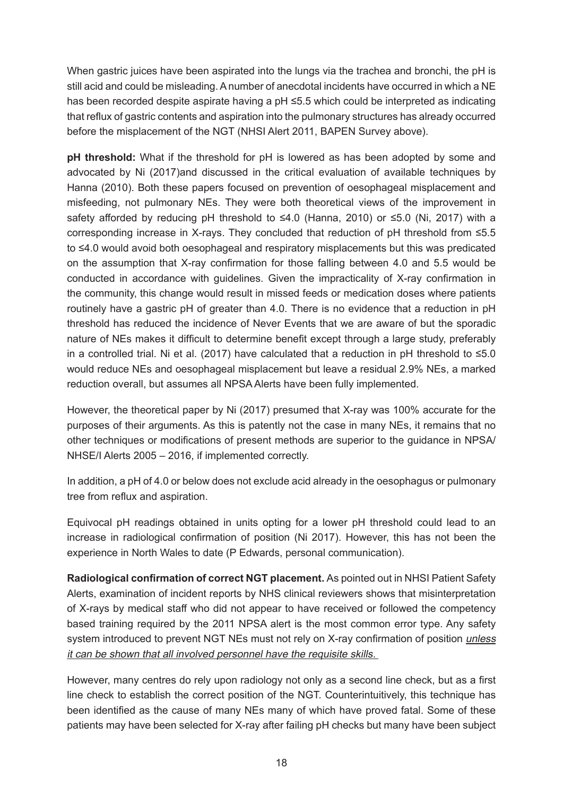When gastric juices have been aspirated into the lungs via the trachea and bronchi, the pH is still acid and could be misleading. A number of anecdotal incidents have occurred in which a NE has been recorded despite aspirate having a pH ≤5.5 which could be interpreted as indicating that reflux of gastric contents and aspiration into the pulmonary structures has already occurred before the misplacement of the NGT (NHSI Alert 2011, BAPEN Survey above).

**pH threshold:** What if the threshold for pH is lowered as has been adopted by some and advocated by Ni (2017)and discussed in the critical evaluation of available techniques by Hanna (2010). Both these papers focused on prevention of oesophageal misplacement and misfeeding, not pulmonary NEs. They were both theoretical views of the improvement in safety afforded by reducing pH threshold to ≤4.0 (Hanna, 2010) or ≤5.0 (Ni, 2017) with a corresponding increase in X-rays. They concluded that reduction of pH threshold from ≤5.5 to ≤4.0 would avoid both oesophageal and respiratory misplacements but this was predicated on the assumption that X-ray confirmation for those falling between 4.0 and 5.5 would be conducted in accordance with guidelines. Given the impracticality of X-ray confirmation in the community, this change would result in missed feeds or medication doses where patients routinely have a gastric pH of greater than 4.0. There is no evidence that a reduction in pH threshold has reduced the incidence of Never Events that we are aware of but the sporadic nature of NEs makes it difficult to determine benefit except through a large study, preferably in a controlled trial. Ni et al. (2017) have calculated that a reduction in pH threshold to  $\leq 5.0$ would reduce NEs and oesophageal misplacement but leave a residual 2.9% NEs, a marked reduction overall, but assumes all NPSA Alerts have been fully implemented.

However, the theoretical paper by Ni (2017) presumed that X-ray was 100% accurate for the purposes of their arguments. As this is patently not the case in many NEs, it remains that no other techniques or modifications of present methods are superior to the guidance in NPSA/ NHSE/I Alerts 2005 – 2016, if implemented correctly.

In addition, a pH of 4.0 or below does not exclude acid already in the oesophagus or pulmonary tree from reflux and aspiration.

Equivocal pH readings obtained in units opting for a lower pH threshold could lead to an increase in radiological confirmation of position (Ni 2017). However, this has not been the experience in North Wales to date (P Edwards, personal communication).

**Radiological confirmation of correct NGT placement.** As pointed out in NHSI Patient Safety Alerts, examination of incident reports by NHS clinical reviewers shows that misinterpretation of X-rays by medical staff who did not appear to have received or followed the competency based training required by the 2011 NPSA alert is the most common error type. Any safety system introduced to prevent NGT NEs must not rely on X-ray confirmation of position *unless* it can be shown that all involved personnel have the requisite skills.

However, many centres do rely upon radiology not only as a second line check, but as a first line check to establish the correct position of the NGT. Counterintuitively, this technique has been identified as the cause of many NEs many of which have proved fatal. Some of these patients may have been selected for X-ray after failing pH checks but many have been subject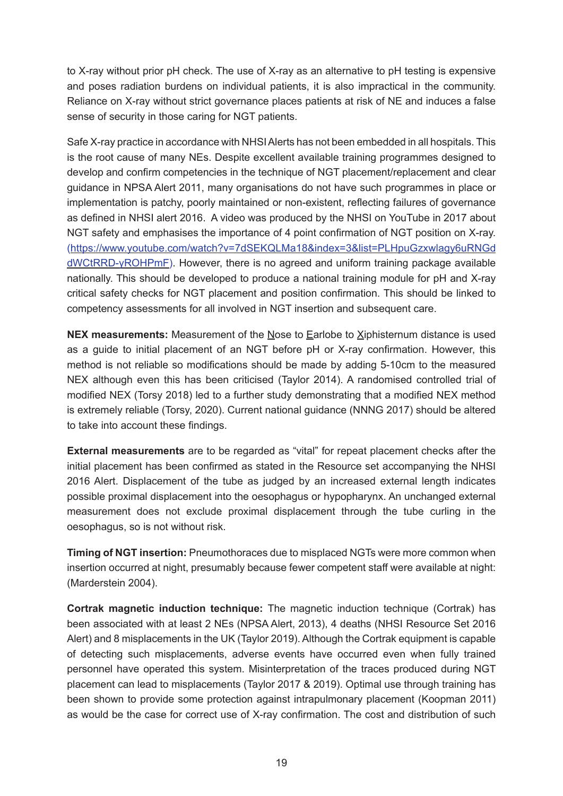to X-ray without prior pH check. The use of X-ray as an alternative to pH testing is expensive and poses radiation burdens on individual patients, it is also impractical in the community. Reliance on X-ray without strict governance places patients at risk of NE and induces a false sense of security in those caring for NGT patients.

Safe X-ray practice in accordance with NHSI Alerts has not been embedded in all hospitals. This is the root cause of many NEs. Despite excellent available training programmes designed to develop and confirm competencies in the technique of NGT placement/replacement and clear guidance in NPSA Alert 2011, many organisations do not have such programmes in place or implementation is patchy, poorly maintained or non-existent, reflecting failures of governance as defined in NHSI alert 2016. A video was produced by the NHSI on YouTube in 2017 about NGT safety and emphasises the importance of 4 point confirmation of NGT position on X-ray. ([https://www.youtube.com/watch?v=7dSEKQLMa18&index=3&list=PLHpuGzxwlagy6uRNGd](https://www.youtube.com/watch?v=7dSEKQLMa18&index=3&list=PLHpuGzxwlagy6uRNGddWCtRRD-yROHPmF) [dWCtRRD-yROHPmF](https://www.youtube.com/watch?v=7dSEKQLMa18&index=3&list=PLHpuGzxwlagy6uRNGddWCtRRD-yROHPmF)). However, there is no agreed and uniform training package available nationally. This should be developed to produce a national training module for pH and X-ray critical safety checks for NGT placement and position confirmation. This should be linked to competency assessments for all involved in NGT insertion and subsequent care.

**NEX measurements:** Measurement of the Nose to Earlobe to Xiphisternum distance is used as a guide to initial placement of an NGT before pH or X-ray confirmation. However, this method is not reliable so modifications should be made by adding 5-10cm to the measured NEX although even this has been criticised (Taylor 2014). A randomised controlled trial of modified NEX (Torsy 2018) led to a further study demonstrating that a modified NEX method is extremely reliable (Torsy, 2020). Current national guidance (NNNG 2017) should be altered to take into account these findings.

**External measurements** are to be regarded as "vital" for repeat placement checks after the initial placement has been confirmed as stated in the Resource set accompanying the NHSI 2016 Alert. Displacement of the tube as judged by an increased external length indicates possible proximal displacement into the oesophagus or hypopharynx. An unchanged external measurement does not exclude proximal displacement through the tube curling in the oesophagus, so is not without risk.

**Timing of NGT insertion:** Pneumothoraces due to misplaced NGTs were more common when insertion occurred at night, presumably because fewer competent staff were available at night: (Marderstein 2004).

**Cortrak magnetic induction technique:** The magnetic induction technique (Cortrak) has been associated with at least 2 NEs (NPSA Alert, 2013), 4 deaths (NHSI Resource Set 2016 Alert) and 8 misplacements in the UK (Taylor 2019). Although the Cortrak equipment is capable of detecting such misplacements, adverse events have occurred even when fully trained personnel have operated this system. Misinterpretation of the traces produced during NGT placement can lead to misplacements (Taylor 2017 & 2019). Optimal use through training has been shown to provide some protection against intrapulmonary placement (Koopman 2011) as would be the case for correct use of X-ray confirmation. The cost and distribution of such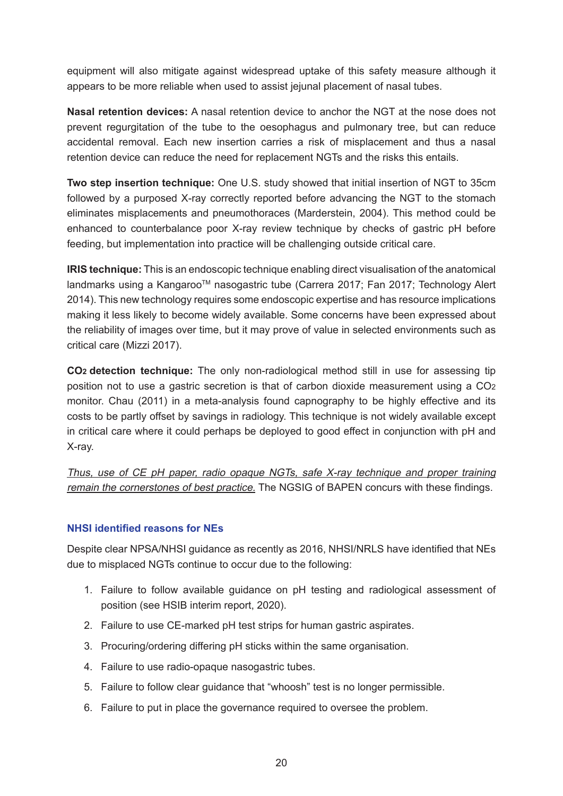equipment will also mitigate against widespread uptake of this safety measure although it appears to be more reliable when used to assist jejunal placement of nasal tubes.

**Nasal retention devices:** A nasal retention device to anchor the NGT at the nose does not prevent regurgitation of the tube to the oesophagus and pulmonary tree, but can reduce accidental removal. Each new insertion carries a risk of misplacement and thus a nasal retention device can reduce the need for replacement NGTs and the risks this entails.

**Two step insertion technique:** One U.S. study showed that initial insertion of NGT to 35cm followed by a purposed X-ray correctly reported before advancing the NGT to the stomach eliminates misplacements and pneumothoraces (Marderstein, 2004). This method could be enhanced to counterbalance poor X-ray review technique by checks of gastric pH before feeding, but implementation into practice will be challenging outside critical care.

**IRIS technique:** This is an endoscopic technique enabling direct visualisation of the anatomical landmarks using a Kangaroo™ nasogastric tube (Carrera 2017; Fan 2017; Technology Alert 2014). This new technology requires some endoscopic expertise and has resource implications making it less likely to become widely available. Some concerns have been expressed about the reliability of images over time, but it may prove of value in selected environments such as critical care (Mizzi 2017).

**CO2 detection technique:** The only non-radiological method still in use for assessing tip position not to use a gastric secretion is that of carbon dioxide measurement using a CO2 monitor. Chau (2011) in a meta-analysis found capnography to be highly effective and its costs to be partly offset by savings in radiology. This technique is not widely available except in critical care where it could perhaps be deployed to good effect in conjunction with pH and X-ray.

Thus, use of CE pH paper, radio opaque NGTs, safe X-ray technique and proper training remain the cornerstones of best practice. The NGSIG of BAPEN concurs with these findings.

### **NHSI identified reasons for NEs**

Despite clear NPSA/NHSI guidance as recently as 2016, NHSI/NRLS have identified that NEs due to misplaced NGTs continue to occur due to the following:

- 1. Failure to follow available guidance on pH testing and radiological assessment of position (see HSIB interim report, 2020).
- 2. Failure to use CE-marked pH test strips for human gastric aspirates.
- 3. Procuring/ordering differing pH sticks within the same organisation.
- 4. Failure to use radio-opaque nasogastric tubes.
- 5. Failure to follow clear guidance that "whoosh" test is no longer permissible.
- 6. Failure to put in place the governance required to oversee the problem.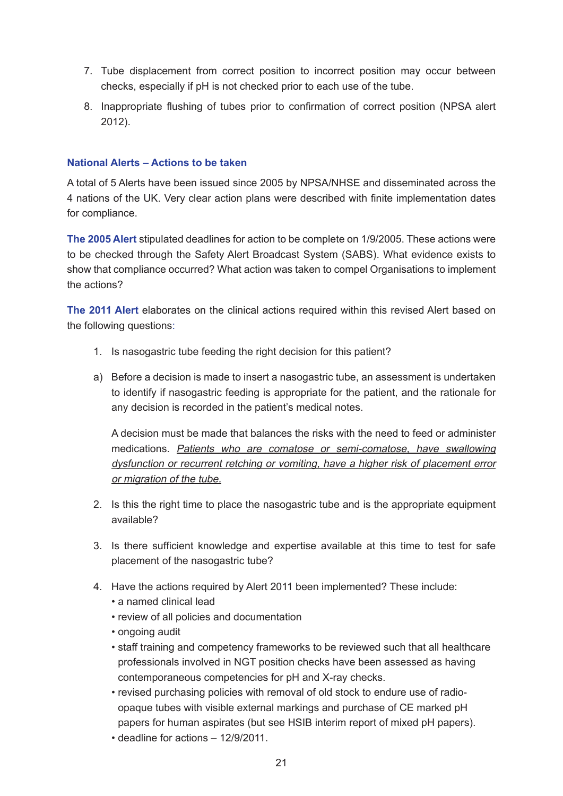- 7. Tube displacement from correct position to incorrect position may occur between checks, especially if pH is not checked prior to each use of the tube.
- 8. Inappropriate flushing of tubes prior to confirmation of correct position (NPSA alert 2012).

### **National Alerts – Actions to be taken**

A total of 5 Alerts have been issued since 2005 by NPSA/NHSE and disseminated across the 4 nations of the UK. Very clear action plans were described with finite implementation dates for compliance.

**The 2005 Alert** stipulated deadlines for action to be complete on 1/9/2005. These actions were to be checked through the Safety Alert Broadcast System (SABS). What evidence exists to show that compliance occurred? What action was taken to compel Organisations to implement the actions?

**The 2011 Alert** elaborates on the clinical actions required within this revised Alert based on the following questions:

- 1. Is nasogastric tube feeding the right decision for this patient?
- a) Before a decision is made to insert a nasogastric tube, an assessment is undertaken to identify if nasogastric feeding is appropriate for the patient, and the rationale for any decision is recorded in the patient's medical notes.

A decision must be made that balances the risks with the need to feed or administer medications. Patients who are comatose or semi-comatose, have swallowing dysfunction or recurrent retching or vomiting, have a higher risk of placement error or migration of the tube.

- 2. Is this the right time to place the nasogastric tube and is the appropriate equipment available?
- 3. Is there sufficient knowledge and expertise available at this time to test for safe placement of the nasogastric tube?
- 4. Have the actions required by Alert 2011 been implemented? These include:
	- a named clinical lead
	- review of all policies and documentation
	- ongoing audit
	- staff training and competency frameworks to be reviewed such that all healthcare professionals involved in NGT position checks have been assessed as having contemporaneous competencies for pH and X-ray checks.
	- revised purchasing policies with removal of old stock to endure use of radioopaque tubes with visible external markings and purchase of CE marked pH papers for human aspirates (but see HSIB interim report of mixed pH papers).
	- deadline for actions 12/9/2011.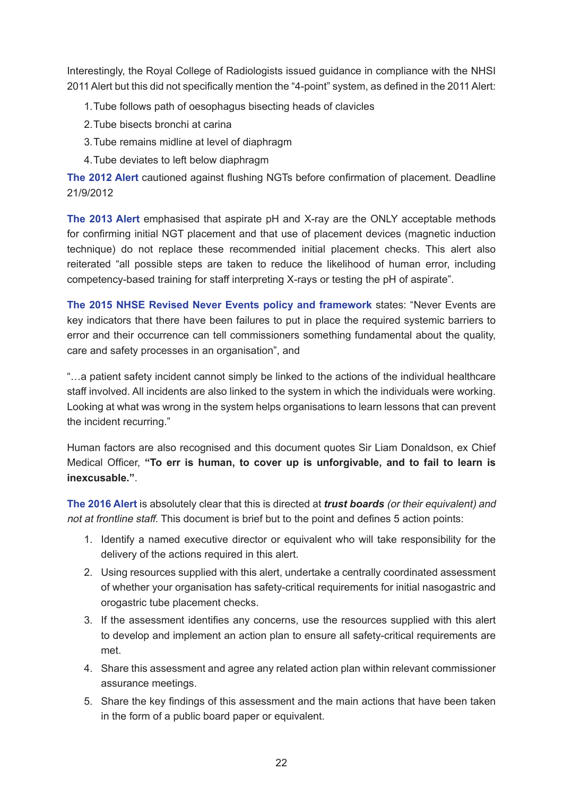Interestingly, the Royal College of Radiologists issued guidance in compliance with the NHSI 2011 Alert but this did not specifically mention the "4-point" system, as defined in the 2011 Alert:

- 1.Tube follows path of oesophagus bisecting heads of clavicles
- 2.Tube bisects bronchi at carina
- 3.Tube remains midline at level of diaphragm
- 4.Tube deviates to left below diaphragm

**The 2012 Alert** cautioned against flushing NGTs before confirmation of placement. Deadline 21/9/2012

**The 2013 Alert** emphasised that aspirate pH and X-ray are the ONLY acceptable methods for confirming initial NGT placement and that use of placement devices (magnetic induction technique) do not replace these recommended initial placement checks. This alert also reiterated "all possible steps are taken to reduce the likelihood of human error, including competency-based training for staff interpreting X-rays or testing the pH of aspirate".

**The 2015 NHSE Revised Never Events policy and framework** states: "Never Events are key indicators that there have been failures to put in place the required systemic barriers to error and their occurrence can tell commissioners something fundamental about the quality, care and safety processes in an organisation", and

"…a patient safety incident cannot simply be linked to the actions of the individual healthcare staff involved. All incidents are also linked to the system in which the individuals were working. Looking at what was wrong in the system helps organisations to learn lessons that can prevent the incident recurring."

Human factors are also recognised and this document quotes Sir Liam Donaldson, ex Chief Medical Officer, **"To err is human, to cover up is unforgivable, and to fail to learn is inexcusable."**.

**The 2016 Alert** is absolutely clear that this is directed at *trust boards* (or their equivalent) and not at frontline staff. This document is brief but to the point and defines 5 action points:

- 1. Identify a named executive director or equivalent who will take responsibility for the delivery of the actions required in this alert.
- 2. Using resources supplied with this alert, undertake a centrally coordinated assessment of whether your organisation has safety-critical requirements for initial nasogastric and orogastric tube placement checks.
- 3. If the assessment identifies any concerns, use the resources supplied with this alert to develop and implement an action plan to ensure all safety-critical requirements are met.
- 4. Share this assessment and agree any related action plan within relevant commissioner assurance meetings.
- 5. Share the key findings of this assessment and the main actions that have been taken in the form of a public board paper or equivalent.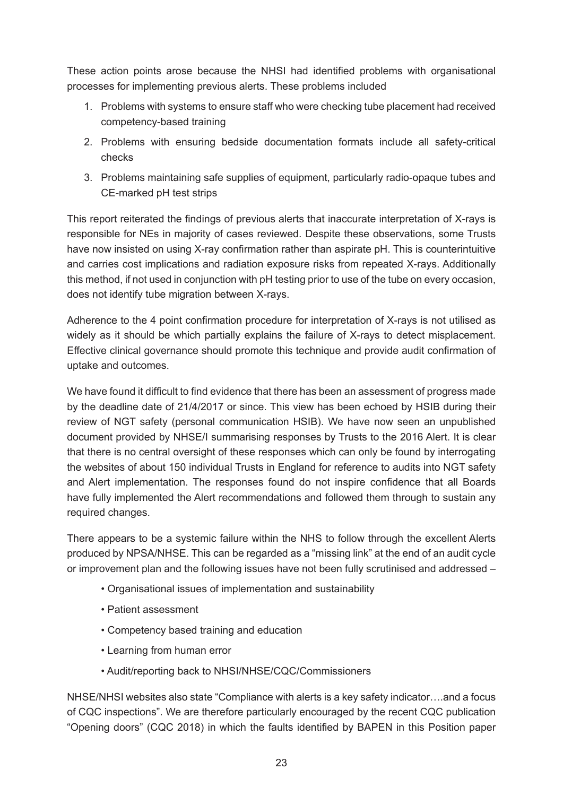These action points arose because the NHSI had identified problems with organisational processes for implementing previous alerts. These problems included

- 1. Problems with systems to ensure staff who were checking tube placement had received competency-based training
- 2. Problems with ensuring bedside documentation formats include all safety-critical checks
- 3. Problems maintaining safe supplies of equipment, particularly radio-opaque tubes and CE-marked pH test strips

This report reiterated the findings of previous alerts that inaccurate interpretation of X-rays is responsible for NEs in majority of cases reviewed. Despite these observations, some Trusts have now insisted on using X-ray confirmation rather than aspirate pH. This is counterintuitive and carries cost implications and radiation exposure risks from repeated X-rays. Additionally this method, if not used in conjunction with pH testing prior to use of the tube on every occasion, does not identify tube migration between X-rays.

Adherence to the 4 point confirmation procedure for interpretation of X-rays is not utilised as widely as it should be which partially explains the failure of X-rays to detect misplacement. Effective clinical governance should promote this technique and provide audit confirmation of uptake and outcomes.

We have found it difficult to find evidence that there has been an assessment of progress made by the deadline date of 21/4/2017 or since. This view has been echoed by HSIB during their review of NGT safety (personal communication HSIB). We have now seen an unpublished document provided by NHSE/I summarising responses by Trusts to the 2016 Alert. It is clear that there is no central oversight of these responses which can only be found by interrogating the websites of about 150 individual Trusts in England for reference to audits into NGT safety and Alert implementation. The responses found do not inspire confidence that all Boards have fully implemented the Alert recommendations and followed them through to sustain any required changes.

There appears to be a systemic failure within the NHS to follow through the excellent Alerts produced by NPSA/NHSE. This can be regarded as a "missing link" at the end of an audit cycle or improvement plan and the following issues have not been fully scrutinised and addressed –

- Organisational issues of implementation and sustainability
- Patient assessment
- Competency based training and education
- Learning from human error
- Audit/reporting back to NHSI/NHSE/CQC/Commissioners

NHSE/NHSI websites also state "Compliance with alerts is a key safety indicator….and a focus of CQC inspections". We are therefore particularly encouraged by the recent CQC publication "Opening doors" (CQC 2018) in which the faults identified by BAPEN in this Position paper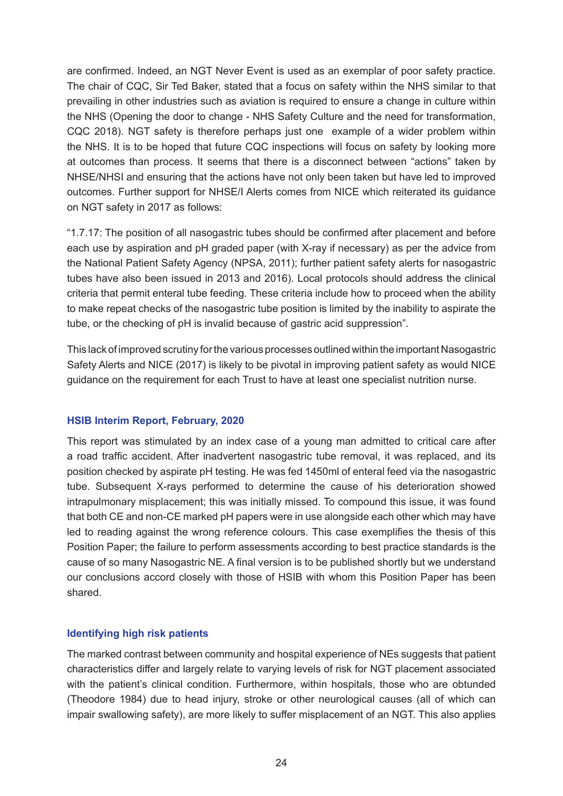are confirmed. Indeed, an NGT Never Event is used as an exemplar of poor safety practice. The chair of CQC, Sir Ted Baker, stated that a focus on safety within the NHS similar to that prevailing in other industries such as aviation is required to ensure a change in culture within the NHS (Opening the door to change - NHS Safety Culture and the need for transformation, CQC 2018). NGT safety is therefore perhaps just one example of a wider problem within the NHS. It is to be hoped that future CQC inspections will focus on safety by looking more at outcomes than process. It seems that there is a disconnect between "actions" taken by NHSE/NHSI and ensuring that the actions have not only been taken but have led to improved outcomes. Further support for NHSE/I Alerts comes from NICE which reiterated its guidance on NGT safety in 2017 as follows:

"1.7.17: The position of all nasogastric tubes should be confirmed after placement and before each use by aspiration and pH graded paper (with X-ray if necessary) as per the advice from the National Patient Safety Agency [\(NPSA, 2011\)](http://www.nrls.npsa.nhs.uk/alerts/?entryid45=129640); further patient safety alerts for nasogastric tubes have also been issued in [2013](https://improvement.nhs.uk/news-alerts/patient-safety-alert-placement-devices-nasogastric-tube-insertion/) and [2016](https://improvement.nhs.uk/news-alerts/nasogastric-tube-misplacement-continuing-risk-of-death-severe-harm/)). Local protocols should address the clinical criteria that permit enteral tube feeding. These criteria include how to proceed when the ability to make repeat checks of the nasogastric tube position is limited by the inability to aspirate the tube, or the checking of pH is invalid because of gastric acid suppression".

This lack of improved scrutiny for the various processes outlined within the important Nasogastric Safety Alerts and NICE (2017) is likely to be pivotal in improving patient safety as would NICE guidance on the requirement for each Trust to have at least one specialist nutrition nurse.

### **HSIB Interim Report, February, 2020**

This report was stimulated by an index case of a young man admitted to critical care after a road traffic accident. After inadvertent nasogastric tube removal, it was replaced, and its position checked by aspirate pH testing. He was fed 1450ml of enteral feed via the nasogastric tube. Subsequent X-rays performed to determine the cause of his deterioration showed intrapulmonary misplacement; this was initially missed. To compound this issue, it was found that both CE and non-CE marked pH papers were in use alongside each other which may have led to reading against the wrong reference colours. This case exemplifies the thesis of this Position Paper; the failure to perform assessments according to best practice standards is the cause of so many Nasogastric NE. A final version is to be published shortly but we understand our conclusions accord closely with those of HSIB with whom this Position Paper has been shared.

### **Identifying high risk patients**

The marked contrast between community and hospital experience of NEs suggests that patient characteristics differ and largely relate to varying levels of risk for NGT placement associated with the patient's clinical condition. Furthermore, within hospitals, those who are obtunded (Theodore 1984) due to head injury, stroke or other neurological causes (all of which can impair swallowing safety), are more likely to suffer misplacement of an NGT. This also applies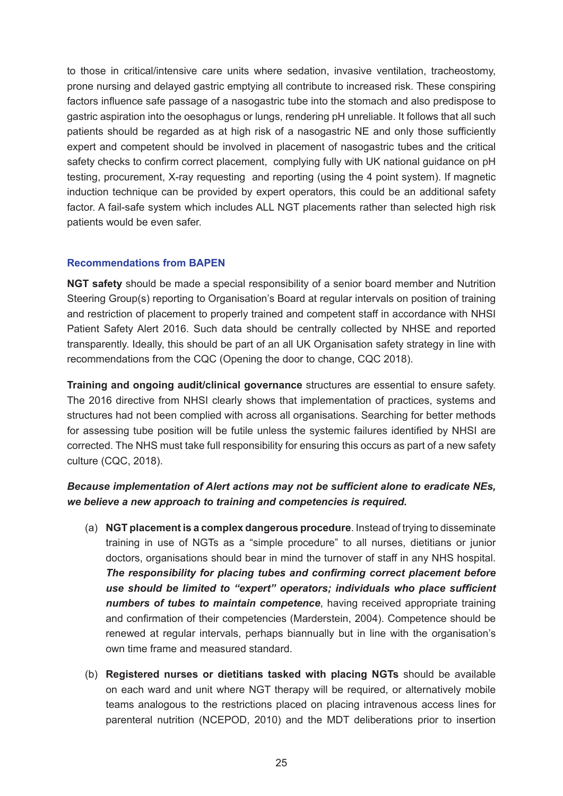to those in critical/intensive care units where sedation, invasive ventilation, tracheostomy, prone nursing and delayed gastric emptying all contribute to increased risk. These conspiring factors influence safe passage of a nasogastric tube into the stomach and also predispose to gastric aspiration into the oesophagus or lungs, rendering pH unreliable. It follows that all such patients should be regarded as at high risk of a nasogastric NE and only those sufficiently expert and competent should be involved in placement of nasogastric tubes and the critical safety checks to confirm correct placement, complying fully with UK national guidance on pH testing, procurement, X-ray requesting and reporting (using the 4 point system). If magnetic induction technique can be provided by expert operators, this could be an additional safety factor. A fail-safe system which includes ALL NGT placements rather than selected high risk patients would be even safer.

### **Recommendations from BAPEN**

**NGT safety** should be made a special responsibility of a senior board member and Nutrition Steering Group(s) reporting to Organisation's Board at regular intervals on position of training and restriction of placement to properly trained and competent staff in accordance with NHSI Patient Safety Alert 2016. Such data should be centrally collected by NHSE and reported transparently. Ideally, this should be part of an all UK Organisation safety strategy in line with recommendations from the CQC (Opening the door to change, CQC 2018).

**Training and ongoing audit/clinical governance** structures are essential to ensure safety. The 2016 directive from NHSI clearly shows that implementation of practices, systems and structures had not been complied with across all organisations. Searching for better methods for assessing tube position will be futile unless the systemic failures identified by NHSI are corrected. The NHS must take full responsibility for ensuring this occurs as part of a new safety culture (CQC, 2018).

### *Because implementation of Alert actions may not be sufficient alone to eradicate NEs, we believe a new approach to training and competencies is required.*

- (a) **NGT placement is a complex dangerous procedure**. Instead of trying to disseminate training in use of NGTs as a "simple procedure" to all nurses, dietitians or junior doctors, organisations should bear in mind the turnover of staff in any NHS hospital. *The responsibility for placing tubes and confirming correct placement before use should be limited to "expert" operators; individuals who place sufficient numbers of tubes to maintain competence*, having received appropriate training and confirmation of their competencies (Marderstein, 2004). Competence should be renewed at regular intervals, perhaps biannually but in line with the organisation's own time frame and measured standard.
- (b) **Registered nurses or dietitians tasked with placing NGTs** should be available on each ward and unit where NGT therapy will be required, or alternatively mobile teams analogous to the restrictions placed on placing intravenous access lines for parenteral nutrition (NCEPOD, 2010) and the MDT deliberations prior to insertion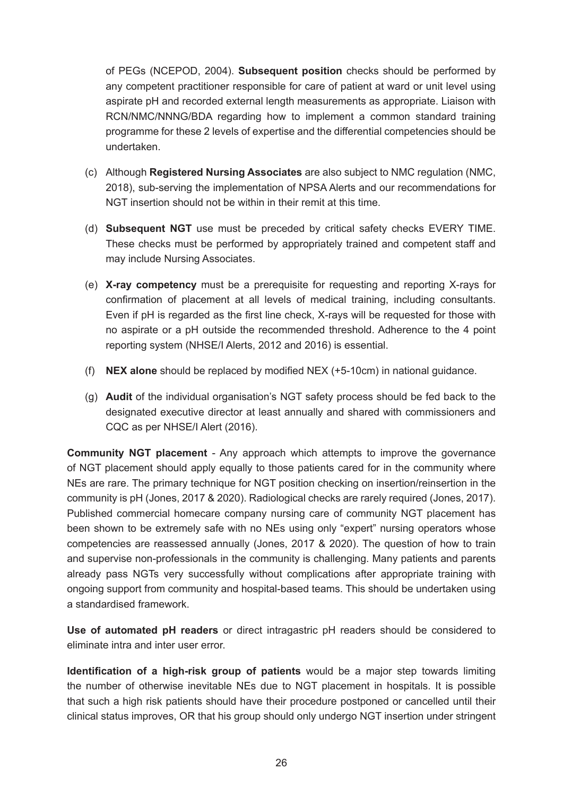of PEGs (NCEPOD, 2004). **Subsequent position** checks should be performed by any competent practitioner responsible for care of patient at ward or unit level using aspirate pH and recorded external length measurements as appropriate. Liaison with RCN/NMC/NNNG/BDA regarding how to implement a common standard training programme for these 2 levels of expertise and the differential competencies should be undertaken.

- (c) Although **Registered Nursing Associates** are also subject to NMC regulation (NMC, 2018), sub-serving the implementation of NPSA Alerts and our recommendations for NGT insertion should not be within in their remit at this time.
- (d) **Subsequent NGT** use must be preceded by critical safety checks EVERY TIME. These checks must be performed by appropriately trained and competent staff and may include Nursing Associates.
- (e) **X-ray competency** must be a prerequisite for requesting and reporting X-rays for confirmation of placement at all levels of medical training, including consultants. Even if pH is regarded as the first line check, X-rays will be requested for those with no aspirate or a pH outside the recommended threshold. Adherence to the 4 point reporting system (NHSE/I Alerts, 2012 and 2016) is essential.
- (f) **NEX alone** should be replaced by modified NEX (+5-10cm) in national guidance.
- (g) **Audit** of the individual organisation's NGT safety process should be fed back to the designated executive director at least annually and shared with commissioners and CQC as per NHSE/I Alert (2016).

**Community NGT placement** - Any approach which attempts to improve the governance of NGT placement should apply equally to those patients cared for in the community where NEs are rare. The primary technique for NGT position checking on insertion/reinsertion in the community is pH (Jones, 2017 & 2020). Radiological checks are rarely required (Jones, 2017). Published commercial homecare company nursing care of community NGT placement has been shown to be extremely safe with no NEs using only "expert" nursing operators whose competencies are reassessed annually (Jones, 2017 & 2020). The question of how to train and supervise non-professionals in the community is challenging. Many patients and parents already pass NGTs very successfully without complications after appropriate training with ongoing support from community and hospital-based teams. This should be undertaken using a standardised framework.

**Use of automated pH readers** or direct intragastric pH readers should be considered to eliminate intra and inter user error.

**Identification of a high-risk group of patients** would be a major step towards limiting the number of otherwise inevitable NEs due to NGT placement in hospitals. It is possible that such a high risk patients should have their procedure postponed or cancelled until their clinical status improves, OR that his group should only undergo NGT insertion under stringent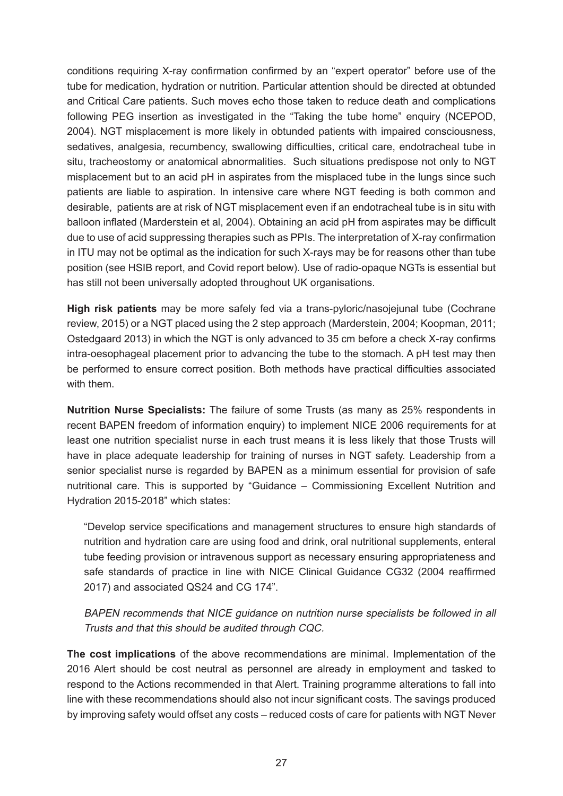conditions requiring X-ray confirmation confirmed by an "expert operator" before use of the tube for medication, hydration or nutrition. Particular attention should be directed at obtunded and Critical Care patients. Such moves echo those taken to reduce death and complications following PEG insertion as investigated in the "Taking the tube home" enquiry (NCEPOD, 2004). NGT misplacement is more likely in obtunded patients with impaired consciousness, sedatives, analgesia, recumbency, swallowing difficulties, critical care, endotracheal tube in situ, tracheostomy or anatomical abnormalities. Such situations predispose not only to NGT misplacement but to an acid pH in aspirates from the misplaced tube in the lungs since such patients are liable to aspiration. In intensive care where NGT feeding is both common and desirable, patients are at risk of NGT misplacement even if an endotracheal tube is in situ with balloon inflated (Marderstein et al, 2004). Obtaining an acid pH from aspirates may be difficult due to use of acid suppressing therapies such as PPIs. The interpretation of X-ray confirmation in ITU may not be optimal as the indication for such X-rays may be for reasons other than tube position (see HSIB report, and Covid report below). Use of radio-opaque NGTs is essential but has still not been universally adopted throughout UK organisations.

**High risk patients** may be more safely fed via a trans-pyloric/nasojejunal tube (Cochrane review, 2015) or a NGT placed using the 2 step approach (Marderstein, 2004; Koopman, 2011; Ostedgaard 2013) in which the NGT is only advanced to 35 cm before a check X-ray confirms intra-oesophageal placement prior to advancing the tube to the stomach. A pH test may then be performed to ensure correct position. Both methods have practical difficulties associated with them.

**Nutrition Nurse Specialists:** The failure of some Trusts (as many as 25% respondents in recent BAPEN freedom of information enquiry) to implement NICE 2006 requirements for at least one nutrition specialist nurse in each trust means it is less likely that those Trusts will have in place adequate leadership for training of nurses in NGT safety. Leadership from a senior specialist nurse is regarded by BAPEN as a minimum essential for provision of safe nutritional care. This is supported by "Guidance – Commissioning Excellent Nutrition and Hydration 2015-2018" which states:

"Develop service specifications and management structures to ensure high standards of nutrition and hydration care are using food and drink, oral nutritional supplements, enteral tube feeding provision or intravenous support as necessary ensuring appropriateness and safe standards of practice in line with NICE Clinical Guidance CG32 (2004 reaffirmed 2017) and associated QS24 and CG 174".

BAPEN recommends that NICE guidance on nutrition nurse specialists be followed in all Trusts and that this should be audited through CQC.

**The cost implications** of the above recommendations are minimal. Implementation of the 2016 Alert should be cost neutral as personnel are already in employment and tasked to respond to the Actions recommended in that Alert. Training programme alterations to fall into line with these recommendations should also not incur significant costs. The savings produced by improving safety would offset any costs – reduced costs of care for patients with NGT Never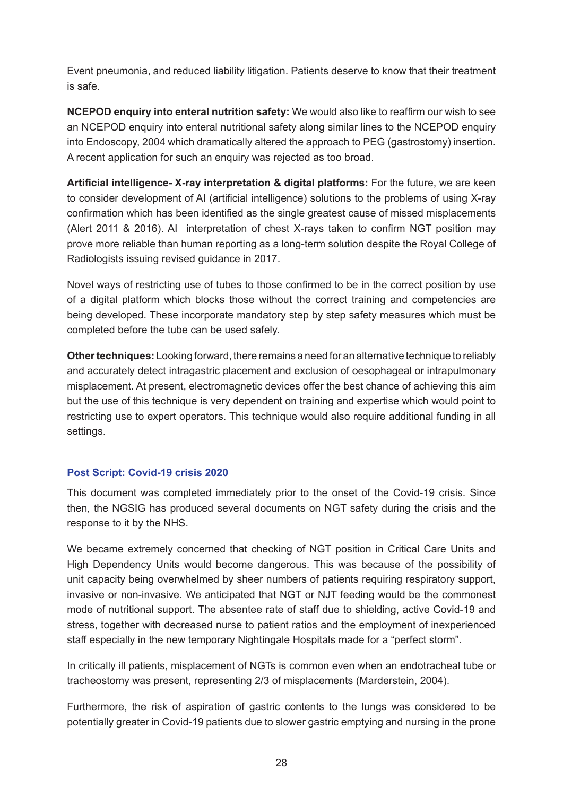Event pneumonia, and reduced liability litigation. Patients deserve to know that their treatment is safe.

**NCEPOD enquiry into enteral nutrition safety:** We would also like to reaffirm our wish to see an NCEPOD enquiry into enteral nutritional safety along similar lines to the NCEPOD enquiry into Endoscopy, 2004 which dramatically altered the approach to PEG (gastrostomy) insertion. A recent application for such an enquiry was rejected as too broad.

**Artificial intelligence- X-ray interpretation & digital platforms:** For the future, we are keen to consider development of AI (artificial intelligence) solutions to the problems of using X-ray confirmation which has been identified as the single greatest cause of missed misplacements (Alert 2011 & 2016). AI interpretation of chest X-rays taken to confirm NGT position may prove more reliable than human reporting as a long-term solution despite the Royal College of Radiologists issuing revised guidance in 2017.

Novel ways of restricting use of tubes to those confirmed to be in the correct position by use of a digital platform which blocks those without the correct training and competencies are being developed. These incorporate mandatory step by step safety measures which must be completed before the tube can be used safely.

**Other techniques:** Looking forward, there remains a need for an alternative technique to reliably and accurately detect intragastric placement and exclusion of oesophageal or intrapulmonary misplacement. At present, electromagnetic devices offer the best chance of achieving this aim but the use of this technique is very dependent on training and expertise which would point to restricting use to expert operators. This technique would also require additional funding in all settings.

### **Post Script: Covid-19 crisis 2020**

This document was completed immediately prior to the onset of the Covid-19 crisis. Since then, the NGSIG has produced several documents on NGT safety during the crisis and the response to it by the NHS.

We became extremely concerned that checking of NGT position in Critical Care Units and High Dependency Units would become dangerous. This was because of the possibility of unit capacity being overwhelmed by sheer numbers of patients requiring respiratory support, invasive or non-invasive. We anticipated that NGT or NJT feeding would be the commonest mode of nutritional support. The absentee rate of staff due to shielding, active Covid-19 and stress, together with decreased nurse to patient ratios and the employment of inexperienced staff especially in the new temporary Nightingale Hospitals made for a "perfect storm".

In critically ill patients, misplacement of NGTs is common even when an endotracheal tube or tracheostomy was present, representing 2/3 of misplacements (Marderstein, 2004).

Furthermore, the risk of aspiration of gastric contents to the lungs was considered to be potentially greater in Covid-19 patients due to slower gastric emptying and nursing in the prone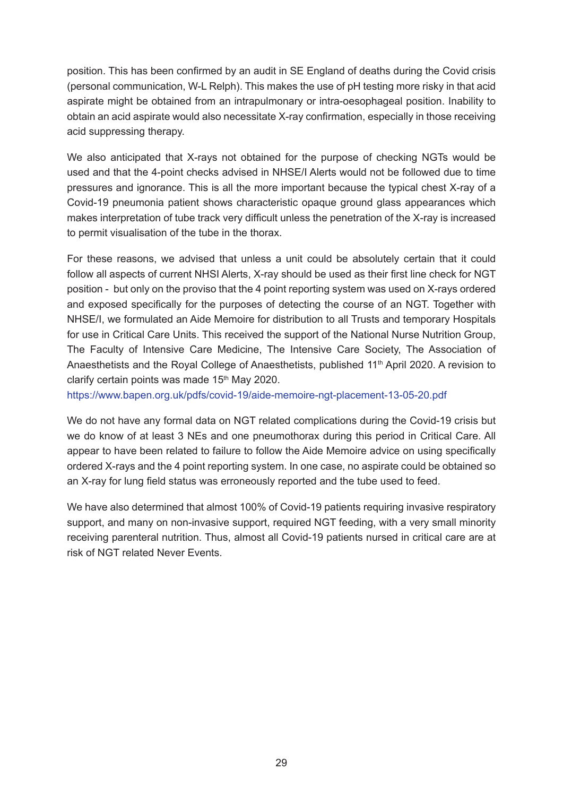position. This has been confirmed by an audit in SE England of deaths during the Covid crisis (personal communication, W-L Relph). This makes the use of pH testing more risky in that acid aspirate might be obtained from an intrapulmonary or intra-oesophageal position. Inability to obtain an acid aspirate would also necessitate X-ray confirmation, especially in those receiving acid suppressing therapy.

We also anticipated that X-rays not obtained for the purpose of checking NGTs would be used and that the 4-point checks advised in NHSE/I Alerts would not be followed due to time pressures and ignorance. This is all the more important because the typical chest X-ray of a Covid-19 pneumonia patient shows characteristic opaque ground glass appearances which makes interpretation of tube track very difficult unless the penetration of the X-ray is increased to permit visualisation of the tube in the thorax.

For these reasons, we advised that unless a unit could be absolutely certain that it could follow all aspects of current NHSI Alerts, X-ray should be used as their first line check for NGT position - but only on the proviso that the 4 point reporting system was used on X-rays ordered and exposed specifically for the purposes of detecting the course of an NGT. Together with NHSE/I, we formulated an Aide Memoire for distribution to all Trusts and temporary Hospitals for use in Critical Care Units. This received the support of the National Nurse Nutrition Group, The Faculty of Intensive Care Medicine, The Intensive Care Society, The Association of Anaesthetists and the Royal College of Anaesthetists, published 11<sup>th</sup> April 2020. A revision to clarify certain points was made  $15<sup>th</sup>$  May 2020.

<https://www.bapen.org.uk/pdfs/covid-19/aide-memoire-ngt-placement-13-05-20.pdf>

We do not have any formal data on NGT related complications during the Covid-19 crisis but we do know of at least 3 NEs and one pneumothorax during this period in Critical Care. All appear to have been related to failure to follow the Aide Memoire advice on using specifically ordered X-rays and the 4 point reporting system. In one case, no aspirate could be obtained so an X-ray for lung field status was erroneously reported and the tube used to feed.

We have also determined that almost 100% of Covid-19 patients requiring invasive respiratory support, and many on non-invasive support, required NGT feeding, with a very small minority receiving parenteral nutrition. Thus, almost all Covid-19 patients nursed in critical care are at risk of NGT related Never Events.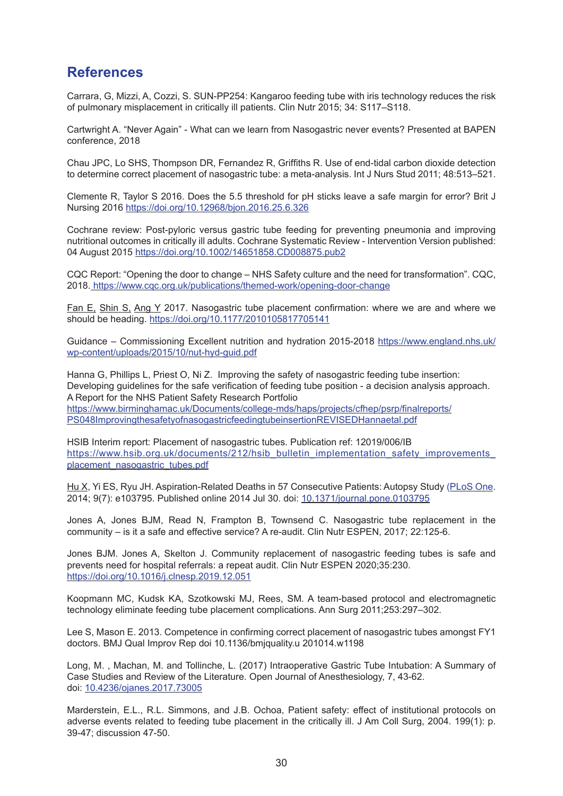### **References**

Carrara, G, Mizzi, A, Cozzi, S. SUN-PP254: Kangaroo feeding tube with iris technology reduces the risk of pulmonary misplacement in critically ill patients. Clin Nutr 2015; 34: S117–S118.

Cartwright A. "Never Again" - What can we learn from Nasogastric never events? Presented at BAPEN conference, 2018

Chau JPC, Lo SHS, Thompson DR, Fernandez R, Griffiths R. Use of end-tidal carbon dioxide detection to determine correct placement of nasogastric tube: a meta-analysis. Int J Nurs Stud 2011; 48:513–521.

Clemente R, Taylor S 2016. Does the 5.5 threshold for pH sticks leave a safe margin for error? Brit J Nursing 2016<https://doi.org/10.12968/bjon.2016.25.6.326>

Cochrane review: Post-pyloric versus gastric tube feeding for preventing pneumonia and improving nutritional outcomes in critically ill adults. Cochrane Systematic Review - Intervention Version published: 04 August 2015<https://doi.org/10.1002/14651858.CD008875.pub2>

CQC Report: "Opening the door to change – NHS Safety culture and the need for transformation". CQC, 2018. <https://www.cqc.org.uk/publications/themed-work/opening-door-change>

Fan E, Shin S, Ang Y 2017. Nasogastric tube placement confirmation: where we are and where we should be heading. https://doi.org/10.1177/2010105817705141

Guidance – Commissioning Excellent nutrition and hydration 2015-2018 [https://www.england.nhs.uk/](https://www.england.nhs.uk/wp-content/uploads/2015/10/nut-hyd-guid.pdf) [wp-content/uploads/2015/10/nut-hyd-guid.pdf](https://www.england.nhs.uk/wp-content/uploads/2015/10/nut-hyd-guid.pdf)

Hanna G, Phillips L, Priest O, Ni Z. Improving the safety of nasogastric feeding tube insertion: Developing guidelines for the safe verification of feeding tube position - a decision analysis approach. A Report for the NHS Patient Safety Research Portfolio [https://www.birminghamac.uk/Documents/college-mds/haps/projects/cfhep/psrp/finalreports/](https://www.birmingham.ac.uk/Documents/college-mds/haps/projects/cfhep/psrp/finalreports/PS048ImprovingthesafetyofnasogastricfeedingtubeinsertionREVISEDHannaetal.pdf) [PS048ImprovingthesafetyofnasogastricfeedingtubeinsertionREVISEDHannaetal.pdf](https://www.birmingham.ac.uk/Documents/college-mds/haps/projects/cfhep/psrp/finalreports/PS048ImprovingthesafetyofnasogastricfeedingtubeinsertionREVISEDHannaetal.pdf)

HSIB Interim report: Placement of nasogastric tubes. Publication ref: 12019/006/IB https://www.hsib.org.uk/documents/212/hsib\_bulletin\_implementation\_safety\_improvements [placement\\_nasogastric\\_tubes.pdf](https://www.hsib.org.uk/documents/212/hsib_bulletin_implementation_safety_improvements_placement_nasogastric_tubes.pdf)

[Hu](https://www.ncbi.nlm.nih.gov/pubmed/?term=Hu%20X%5BAuthor%5D&cauthor=true&cauthor_uid=25076409) X, Yi ES, Ryu JH. Aspiration-Related Deaths in 57 Consecutive Patients: Autopsy Study [\(PLoS One.](http://www.ncbi.nlm.nih.gov/pmc/articles/pmc411622/) 2014; 9(7): e103795. Published online 2014 Jul 30. doi: [10.1371/journal.pone.0103795](https://dx.doi.org/10.1371%2Fjournal.pone.0103795)

Jones A, Jones BJM, Read N, Frampton B, Townsend C. Nasogastric tube replacement in the community – is it a safe and effective service? A re-audit. Clin Nutr ESPEN, 2017; 22:125-6.

Jones BJM. Jones A, Skelton J. Community replacement of nasogastric feeding tubes is safe and prevents need for hospital referrals: a repeat audit. Clin Nutr ESPEN 2020;35:230. <https://doi.org/10.1016/j.clnesp.2019.12.051>

Koopmann MC, Kudsk KA, Szotkowski MJ, Rees, SM. A team-based protocol and electromagnetic technology eliminate feeding tube placement complications. Ann Surg 2011;253:297–302.

Lee S, Mason E. 2013. Competence in confirming correct placement of nasogastric tubes amongst FY1 doctors. BMJ Qual Improv Rep doi 10.1136/bmjquality.u 201014.w1198

Long, M. , Machan, M. and Tollinche, L. (2017) Intraoperative Gastric Tube Intubation: A Summary of Case Studies and Review of the Literature. Open Journal of Anesthesiology, 7, 43-62. doi: [10.4236/ojanes.2017.73005](https://doi.org/10.4236/ojanes.2017.73005)

Marderstein, E.L., R.L. Simmons, and J.B. Ochoa, Patient safety: effect of institutional protocols on adverse events related to feeding tube placement in the critically ill. J Am Coll Surg, 2004. 199(1): p. 39-47; discussion 47-50.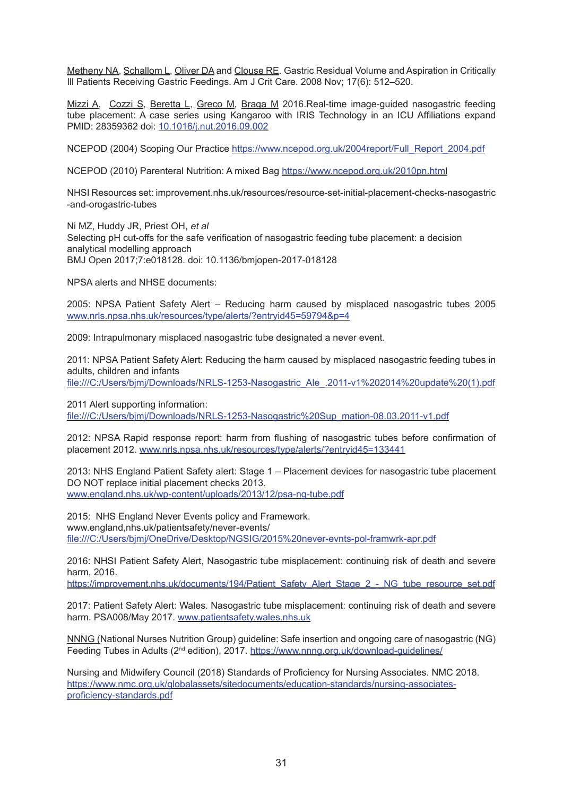[Metheny](https://www.ncbi.nlm.nih.gov/pubmed/?term=Metheny%20NA%5BAuthor%5D&cauthor=true&cauthor_uid=18978236) NA, Schallom L, [Oliver](https://www.ncbi.nlm.nih.gov/pubmed/?term=Oliver%20DA%5BAuthor%5D&cauthor=true&cauthor_uid=18978236) DA and [Clouse](https://www.ncbi.nlm.nih.gov/pubmed/?term=Clouse%20RE%5BAuthor%5D&cauthor=true&cauthor_uid=18978236) RE. Gastric Residual Volume and Aspiration in Critically Ill Patients Receiving Gastric Feedings. Am J Crit Care. 2008 Nov; 17(6): 512–520.

Mizzi A, [C](https://pubmed.ncbi.nlm.nih.gov/?term=Cozzi+S&cauthor_id=28359362)ozzi S, Beretta L, Greco M, Braga M 2016.Real-time image-guided nasogastric feeding tube placement: A case series using Kangaroo with IRIS Technology in an ICU Affiliations expand PMID: 28359362 doi: [10.1016/j.nut.2016.09.002](http://doi.org/10.1016/j.nut.2016.09.002)

NCEPOD (2004) Scoping Our Practice [https://www.ncepod.org.uk/2004report/Full\\_Report\\_2004.pdf](https://www.ncepod.org.uk/2004report/Full_Report_2004.pdf)

NCEPOD (2010) Parenteral Nutrition: A mixed Bag <https://www.ncepod.org.uk/2010pn.html>

NHSI Resources set: improvement.nhs.uk/resources/resource-set-initial-placement-checks-nasogastric -and-orogastric-tubes

Ni MZ, Huddy JR, Priest OH, et al Selecting pH cut-offs for the safe verification of nasogastric feeding tube placement: a decision analytical modelling approach BMJ Open 2017;7:e018128. doi: 10.1136/bmjopen-2017-018128

NPSA alerts and NHSE documents:

2005: NPSA Patient Safety Alert – Reducing harm caused by misplaced nasogastric tubes 2005 [www.nrls.npsa.nhs.uk/resources/type/alerts/?entryid45=59794&p=4](http://www.nrls.npsa.nhs.uk/resources/type/alerts/?entryid45=59794&p=4)

2009: Intrapulmonary misplaced nasogastric tube designated a never event.

2011: NPSA Patient Safety Alert: Reducing the harm caused by misplaced nasogastric feeding tubes in adults, children and infants [file:///C:/Users/bjmj/Downloads/NRLS-1253-Nasogastric\\_Ale\\_.2011-v1%202014%20update%20\(1\).pdf](file:///C:\Users\bjmj\Downloads\NRLS-1253-Nasogastric_Ale_.2011-v1%202014%20update%20(1).pdf)

2011 Alert supporting information: [file:///C:/Users/bjmj/Downloads/NRLS-1253-Nasogastric%20Sup\\_mation-08.03.2011-v1.pdf](file:///C:\Users\bjmj\Downloads\NRLS-1253-Nasogastric%20Sup_mation-08.03.2011-v1.pdf)

2012: NPSA Rapid response report: harm from flushing of nasogastric tubes before confirmation of placement 2012. [www.nrls.npsa.nhs.uk/resources/type/alerts/?entryid45=133441](http://www.nrls.npsa.nhs.uk/resources/type/alerts/?entryid45=133441)

2013: NHS England Patient Safety alert: Stage 1 – Placement devices for nasogastric tube placement DO NOT replace initial placement checks 2013. [www.england.nhs.uk/wp-content/uploads/2013/12/psa-ng-tube.pdf](http://www.england.nhs.uk/wp-content/uploads/2013/12/psa-ng-tube.pdf)

2015: NHS England Never Events policy and Framework. www.england,nhs.uk/patientsafety/never-events/ <file:///C:/Users/bjmj/OneDrive/Desktop/NGSIG/2015%20never-evnts-pol-framwrk-apr.pdf>

2016: NHSI Patient Safety Alert, Nasogastric tube misplacement: continuing risk of death and severe harm, 2016.

[https://improvement.nhs.uk/documents/194/Patient\\_Safety\\_Alert\\_Stage\\_2\\_-\\_NG\\_tube\\_resource\\_set.pdf](https://improvement.nhs.uk/documents/194/Patient_Safety_Alert_Stage_2_-_NG_tube_resource_set.pdf)

2017: Patient Safety Alert: Wales. Nasogastric tube misplacement: continuing risk of death and severe harm. PSA008/May 2017. [www.patientsafety.wales.nhs.uk](http://www.patientsafety.wales.nhs.uk)

NNNG (National Nurses Nutrition Group) guideline: Safe insertion and ongoing care of nasogastric (NG) Feeding Tubes in Adults (2nd edition), 2017. <https://www.nnng.org.uk/download-guidelines/>

Nursing and Midwifery Council (2018) Standards of Proficiency for Nursing Associates. NMC 2018. [https://www.nmc.org.uk/globalassets/sitedocuments/education-standards/nursing-associates](https://www.nmc.org.uk/globalassets/sitedocuments/education-standards/nursing-associates-proficiency-standards.pdf)[proficiency-standards.pdf](https://www.nmc.org.uk/globalassets/sitedocuments/education-standards/nursing-associates-proficiency-standards.pdf)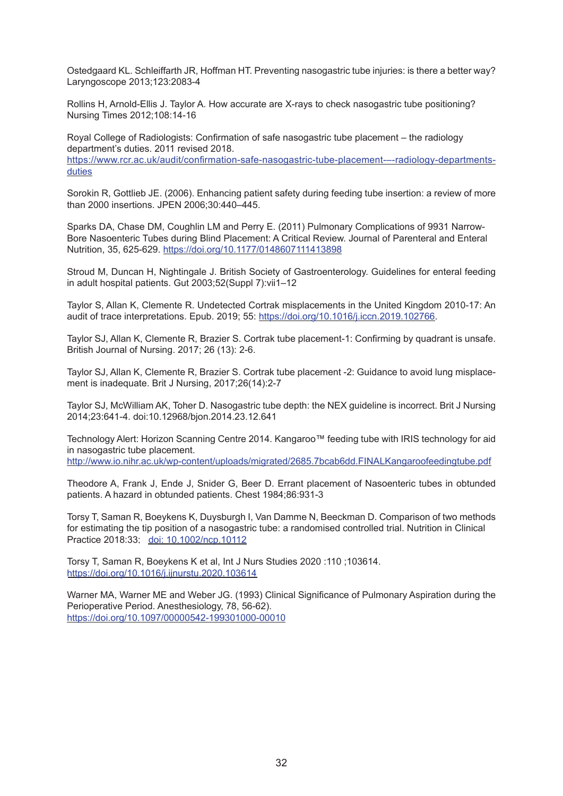Ostedgaard KL. Schleiffarth JR, Hoffman HT. Preventing nasogastric tube injuries: is there a better way? Laryngoscope 2013;123:2083-4

Rollins H, Arnold-Ellis J. Taylor A. How accurate are X-rays to check nasogastric tube positioning? Nursing Times 2012;108:14-16

Royal College of Radiologists: Confirmation of safe nasogastric tube placement – the radiology department's duties. 2011 revised 2018. [https://www.rcr.ac.uk/audit/confirmation-safe-nasogastric-tube-placement-–-radiology-departments](https://www.rcr.ac.uk/audit/confirmation-safe-nasogastric-tube-placement-�-radiology-departments-duties)[duties](https://www.rcr.ac.uk/audit/confirmation-safe-nasogastric-tube-placement-�-radiology-departments-duties)

Sorokin R, Gottlieb JE. (2006). Enhancing patient safety during feeding tube insertion: a review of more than 2000 insertions. JPEN 2006;30:440–445.

Sparks DA, Chase DM, Coughlin LM and Perry E. (2011) Pulmonary Complications of 9931 Narrow-Bore Nasoenteric Tubes during Blind Placement: A Critical Review. Journal of Parenteral and Enteral Nutrition, 35, 625-629. <https://doi.org/10.1177/0148607111413898>

Stroud M, Duncan H, Nightingale J. British Society of Gastroenterology. Guidelines for enteral feeding in adult hospital patients. Gut 2003;52(Suppl 7):vii1–12

Taylor S, Allan K, Clemente R. Undetected Cortrak misplacements in the United Kingdom 2010-17: An audit of trace interpretations. Epub. 2019; 55: <https://doi.org/10.1016/j.iccn.2019.102766>.

Taylor SJ, Allan K, Clemente R, Brazier S. Cortrak tube placement-1: Confirming by quadrant is unsafe. British Journal of Nursing. 2017; 26 (13): 2-6.

Taylor SJ, Allan K, Clemente R, Brazier S. Cortrak tube placement -2: Guidance to avoid lung misplacement is inadequate. Brit J Nursing, 2017;26(14):2-7

Taylor SJ, McWilliam AK, Toher D. Nasogastric tube depth: the NEX guideline is incorrect. Brit J Nursing 2014;23:641-4. doi:10.12968/bjon.2014.23.12.641

Technology Alert: Horizon Scanning Centre 2014. Kangaroo™ feeding tube with IRIS technology for aid in nasogastric tube placement. <http://www.io.nihr.ac.uk/wp-content/uploads/migrated/2685.7bcab6dd.FINALKangaroofeedingtube.pdf>

Theodore A, Frank J, Ende J, Snider G, Beer D. Errant placement of Nasoenteric tubes in obtunded patients. A hazard in obtunded patients. Chest 1984;86:931-3

Torsy T, Saman R, Boeykens K, Duysburgh I, Van Damme N, Beeckman D. Comparison of two methods for estimating the tip position of a nasogastric tube: a randomised controlled trial. Nutrition in Clinical Practice 2018:33; [doi: 10.1002/ncp.10112](https://pubmed.ncbi.nlm.nih.gov/29959848/)

Torsy T, Saman R, Boeykens K et al, Int J Nurs Studies 2020 :110 ;103614. https://doi.org/10.1016/j.ijnurstu.2020.103614

Warner MA, Warner ME and Weber JG. (1993) Clinical Significance of Pulmonary Aspiration during the Perioperative Period. Anesthesiology, 78, 56-62). <https://doi.org/10.1097/00000542-199301000-00010>